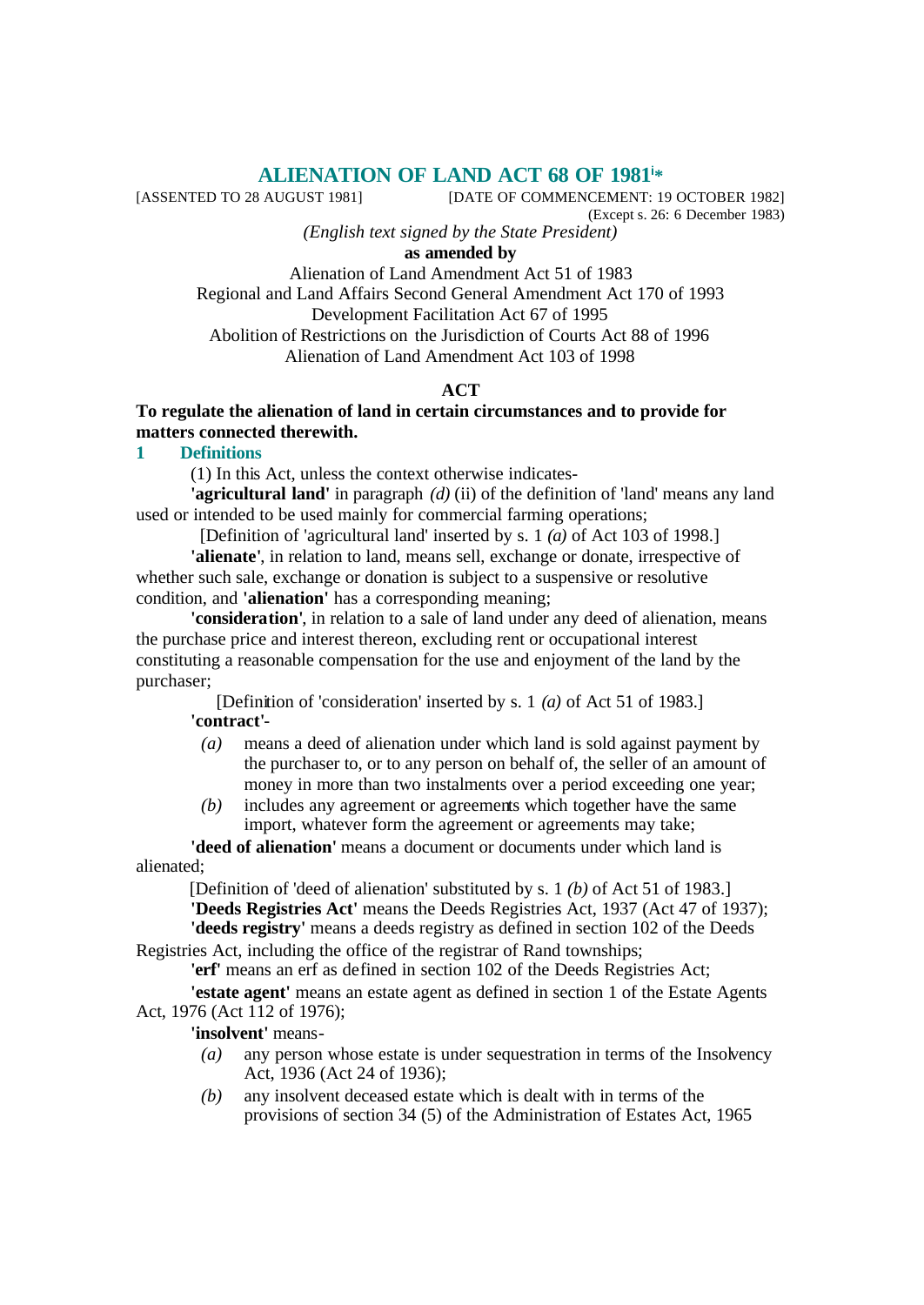# **ALIENATION OF LAND ACT 68 OF 1981<sup>i</sup> \***

[ASSENTED TO 28 AUGUST 1981] [DATE OF COMMENCEMENT: 19 OCTOBER 1982] (Except s. 26: 6 December 1983)

*(English text signed by the State President)*

**as amended by**

Alienation of Land Amendment Act 51 of 1983 Regional and Land Affairs Second General Amendment Act 170 of 1993 Development Facilitation Act 67 of 1995 Abolition of Restrictions on the Jurisdiction of Courts Act 88 of 1996 Alienation of Land Amendment Act 103 of 1998

## **ACT**

## **To regulate the alienation of land in certain circumstances and to provide for matters connected therewith.**

## **1 Definitions**

(1) In this Act, unless the context otherwise indicates-

**'agricultural land'** in paragraph *(d)* (ii) of the definition of 'land' means any land used or intended to be used mainly for commercial farming operations;

[Definition of 'agricultural land' inserted by s. 1 *(a)* of Act 103 of 1998.]

**'alienate'**, in relation to land, means sell, exchange or donate, irrespective of whether such sale, exchange or donation is subject to a suspensive or resolutive condition, and **'alienation'** has a corresponding meaning;

**'consideration'**, in relation to a sale of land under any deed of alienation, means the purchase price and interest thereon, excluding rent or occupational interest constituting a reasonable compensation for the use and enjoyment of the land by the purchaser;

[Definition of 'consideration' inserted by s. 1 *(a)* of Act 51 of 1983.] **'contract'**-

- *(a)* means a deed of alienation under which land is sold against payment by the purchaser to, or to any person on behalf of, the seller of an amount of money in more than two instalments over a period exceeding one year;
- *(b)* includes any agreement or agreements which together have the same import, whatever form the agreement or agreements may take;

**'deed of alienation'** means a document or documents under which land is alienated;

[Definition of 'deed of alienation' substituted by s. 1 *(b)* of Act 51 of 1983.] **'Deeds Registries Act'** means the Deeds Registries Act, 1937 (Act 47 of 1937); **'deeds registry'** means a deeds registry as defined in section 102 of the Deeds

Registries Act, including the office of the registrar of Rand townships;

**'erf'** means an erf as defined in section 102 of the Deeds Registries Act; **'estate agent'** means an estate agent as defined in section 1 of the Estate Agents Act, 1976 (Act 112 of 1976);

**'insolvent'** means-

- *(a)* any person whose estate is under sequestration in terms of the Insolvency Act, 1936 (Act 24 of 1936);
- *(b)* any insolvent deceased estate which is dealt with in terms of the provisions of section 34 (5) of the Administration of Estates Act, 1965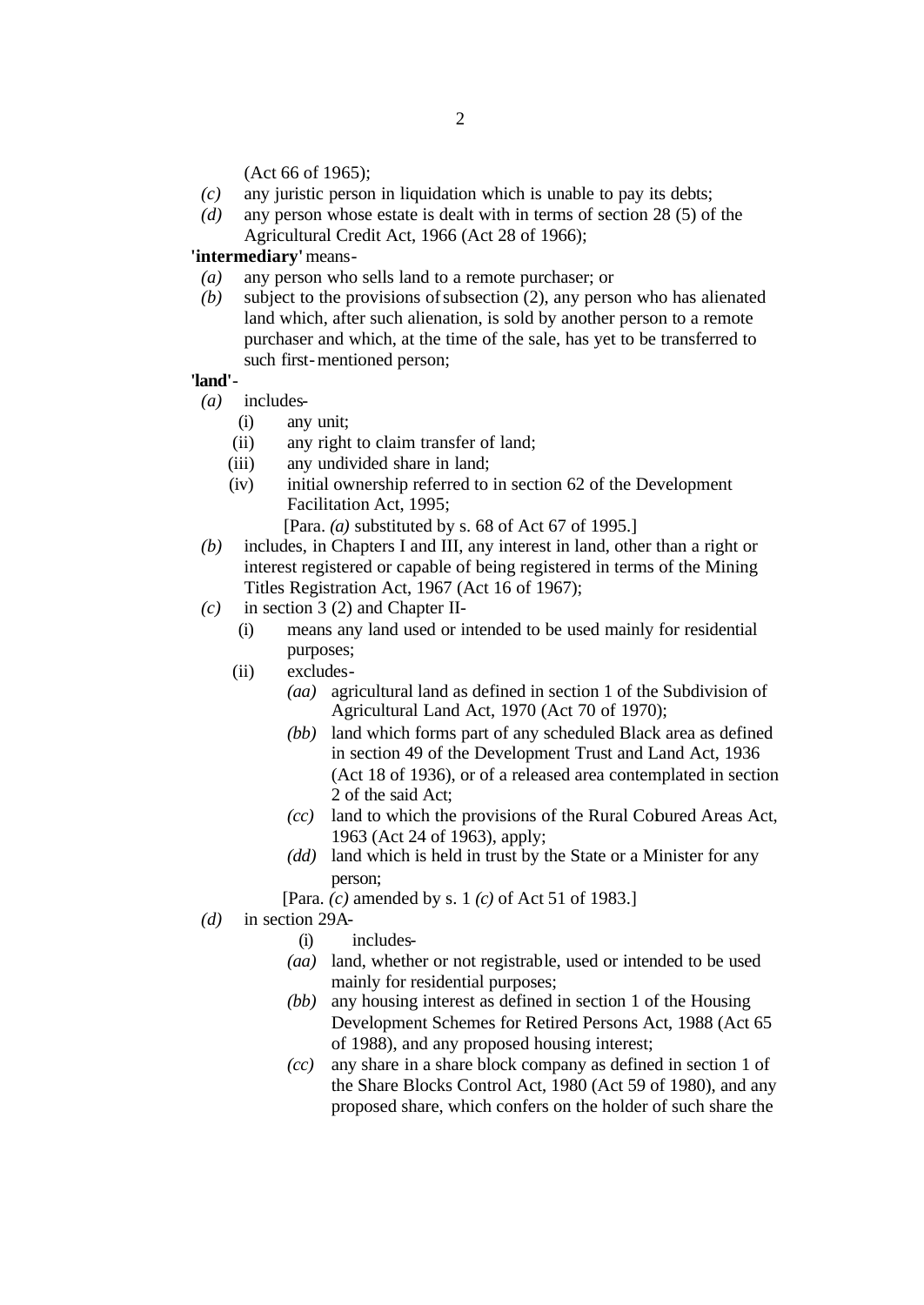(Act 66 of 1965);

- *(c)* any juristic person in liquidation which is unable to pay its debts;
- *(d)* any person whose estate is dealt with in terms of section 28 (5) of the Agricultural Credit Act, 1966 (Act 28 of 1966);

## **'intermediary'** means-

- *(a)* any person who sells land to a remote purchaser; or
- *(b)* subject to the provisions of subsection (2), any person who has alienated land which, after such alienation, is sold by another person to a remote purchaser and which, at the time of the sale, has yet to be transferred to such first-mentioned person;

# **'land'**-

- *(a)* includes-
	- (i) any unit;
	- (ii) any right to claim transfer of land;
	- (iii) any undivided share in land;
	- (iv) initial ownership referred to in section 62 of the Development Facilitation Act, 1995;

[Para. *(a)* substituted by s. 68 of Act 67 of 1995.]

- *(b)* includes, in Chapters I and III, any interest in land, other than a right or interest registered or capable of being registered in terms of the Mining Titles Registration Act, 1967 (Act 16 of 1967);
- *(c)* in section 3 (2) and Chapter II-
	- (i) means any land used or intended to be used mainly for residential purposes;
	- (ii) excludes-
		- *(aa)* agricultural land as defined in section 1 of the Subdivision of Agricultural Land Act, 1970 (Act 70 of 1970);
		- *(bb)* land which forms part of any scheduled Black area as defined in section 49 of the Development Trust and Land Act, 1936 (Act 18 of 1936), or of a released area contemplated in section 2 of the said Act;
		- *(cc)* land to which the provisions of the Rural Cobured Areas Act, 1963 (Act 24 of 1963), apply;
		- *(dd)* land which is held in trust by the State or a Minister for any person;
		- [Para. *(c)* amended by s. 1 *(c)* of Act 51 of 1983.]
- *(d)* in section 29A-
	- (i) includes-
	- *(aa)* land, whether or not registrable, used or intended to be used mainly for residential purposes;
	- *(bb)* any housing interest as defined in section 1 of the Housing Development Schemes for Retired Persons Act, 1988 (Act 65 of 1988), and any proposed housing interest;
	- *(cc)* any share in a share block company as defined in section 1 of the Share Blocks Control Act, 1980 (Act 59 of 1980), and any proposed share, which confers on the holder of such share the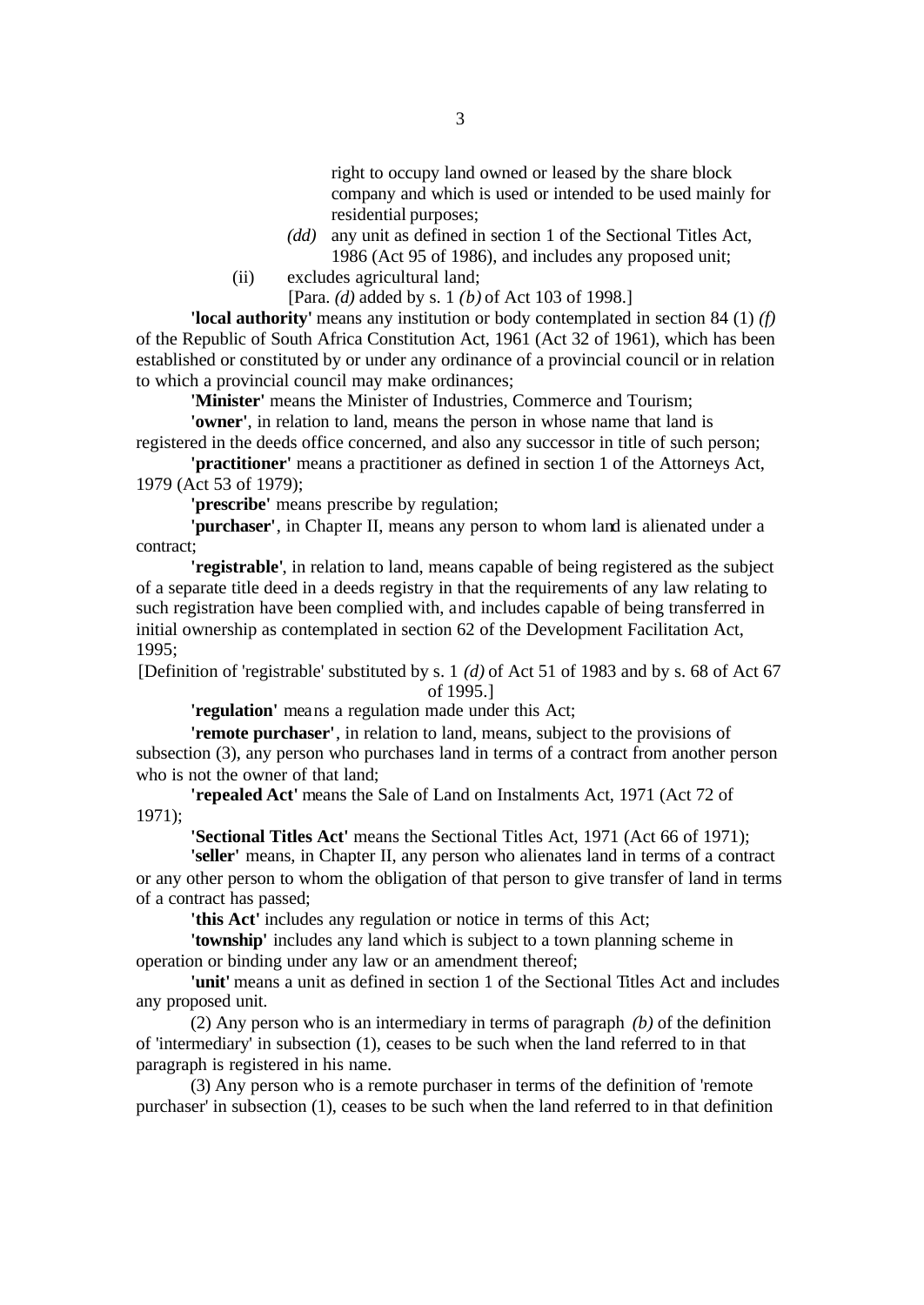right to occupy land owned or leased by the share block company and which is used or intended to be used mainly for residential purposes;

*(dd)* any unit as defined in section 1 of the Sectional Titles Act, 1986 (Act 95 of 1986), and includes any proposed unit;

(ii) excludes agricultural land;

[Para. *(d)* added by s. 1 *(b)* of Act 103 of 1998.]

**'local authority'** means any institution or body contemplated in section 84 (1) *(f)* of the Republic of South Africa Constitution Act, 1961 (Act 32 of 1961), which has been established or constituted by or under any ordinance of a provincial council or in relation to which a provincial council may make ordinances;

**'Minister'** means the Minister of Industries, Commerce and Tourism;

**'owner'**, in relation to land, means the person in whose name that land is registered in the deeds office concerned, and also any successor in title of such person;

**'practitioner'** means a practitioner as defined in section 1 of the Attorneys Act, 1979 (Act 53 of 1979);

**'prescribe'** means prescribe by regulation;

**'purchaser'**, in Chapter II, means any person to whom land is alienated under a contract;

**'registrable'**, in relation to land, means capable of being registered as the subject of a separate title deed in a deeds registry in that the requirements of any law relating to such registration have been complied with, and includes capable of being transferred in initial ownership as contemplated in section 62 of the Development Facilitation Act, 1995;

[Definition of 'registrable' substituted by s. 1 *(d)* of Act 51 of 1983 and by s. 68 of Act 67 of 1995.]

**'regulation'** means a regulation made under this Act;

**'remote purchaser'**, in relation to land, means, subject to the provisions of subsection (3), any person who purchases land in terms of a contract from another person who is not the owner of that land;

**'repealed Act'** means the Sale of Land on Instalments Act, 1971 (Act 72 of 1971);

**'Sectional Titles Act'** means the Sectional Titles Act, 1971 (Act 66 of 1971);

**'seller'** means, in Chapter II, any person who alienates land in terms of a contract or any other person to whom the obligation of that person to give transfer of land in terms of a contract has passed;

**'this Act'** includes any regulation or notice in terms of this Act;

**'township'** includes any land which is subject to a town planning scheme in operation or binding under any law or an amendment thereof;

**'unit'** means a unit as defined in section 1 of the Sectional Titles Act and includes any proposed unit.

(2) Any person who is an intermediary in terms of paragraph *(b)* of the definition of 'intermediary' in subsection (1), ceases to be such when the land referred to in that paragraph is registered in his name.

(3) Any person who is a remote purchaser in terms of the definition of 'remote purchaser' in subsection (1), ceases to be such when the land referred to in that definition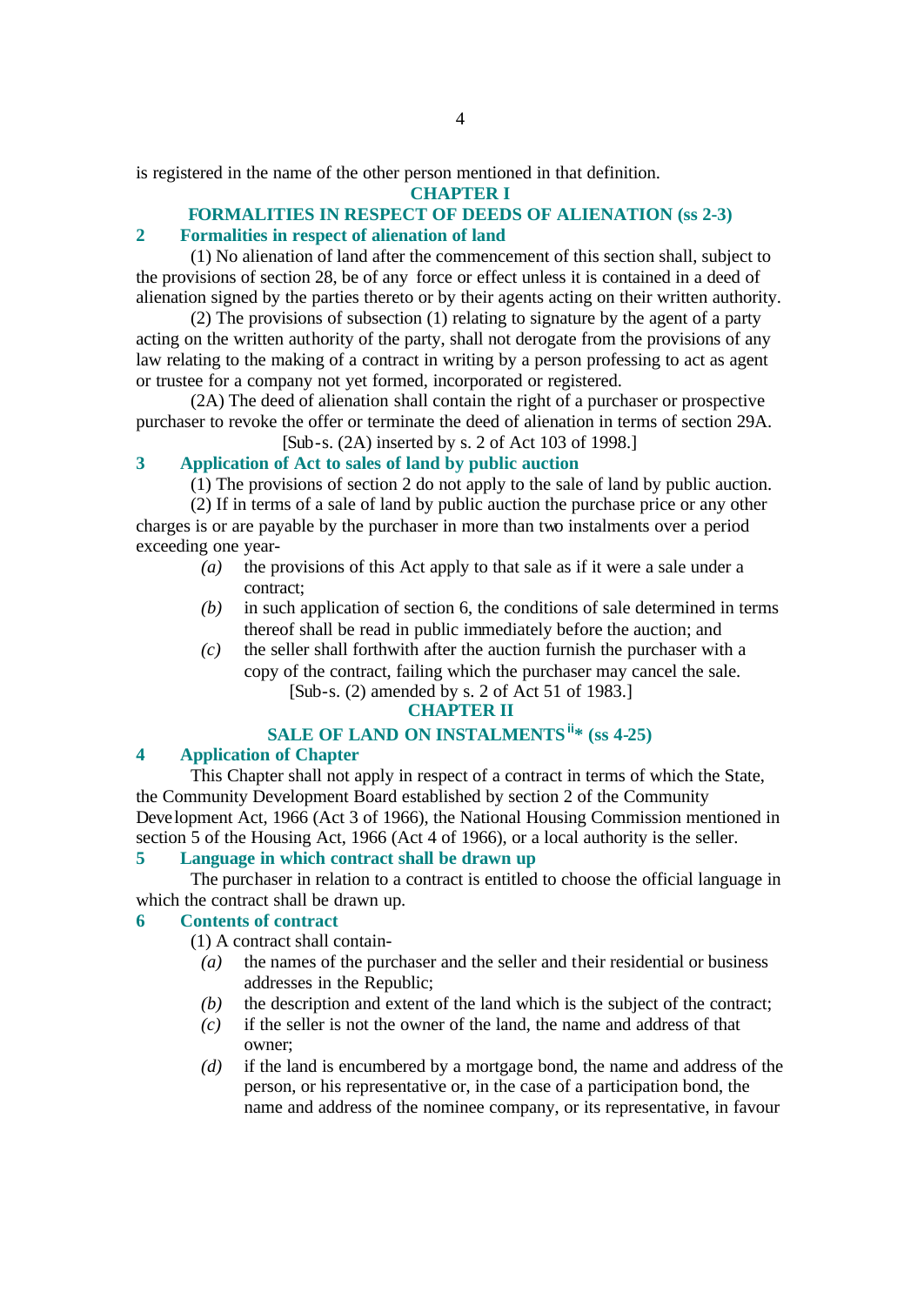is registered in the name of the other person mentioned in that definition.

## **CHAPTER I**

# **FORMALITIES IN RESPECT OF DEEDS OF ALIENATION (ss 2-3)**

# **2 Formalities in respect of alienation of land**

(1) No alienation of land after the commencement of this section shall, subject to the provisions of section 28, be of any force or effect unless it is contained in a deed of alienation signed by the parties thereto or by their agents acting on their written authority.

(2) The provisions of subsection (1) relating to signature by the agent of a party acting on the written authority of the party, shall not derogate from the provisions of any law relating to the making of a contract in writing by a person professing to act as agent or trustee for a company not yet formed, incorporated or registered.

(2A) The deed of alienation shall contain the right of a purchaser or prospective purchaser to revoke the offer or terminate the deed of alienation in terms of section 29A.

[Sub-s. (2A) inserted by s. 2 of Act 103 of 1998.]

### **3 Application of Act to sales of land by public auction**

(1) The provisions of section 2 do not apply to the sale of land by public auction.

(2) If in terms of a sale of land by public auction the purchase price or any other charges is or are payable by the purchaser in more than two instalments over a period exceeding one year-

- *(a)* the provisions of this Act apply to that sale as if it were a sale under a contract;
- *(b)* in such application of section 6, the conditions of sale determined in terms thereof shall be read in public immediately before the auction; and
- *(c)* the seller shall forthwith after the auction furnish the purchaser with a copy of the contract, failing which the purchaser may cancel the sale. [Sub-s. (2) amended by s. 2 of Act 51 of 1983.]

### **CHAPTER II**

# **SALE OF LAND ON INSTALMENTSii\* (ss 4-25)**

## **4 Application of Chapter**

This Chapter shall not apply in respect of a contract in terms of which the State, the Community Development Board established by section 2 of the Community Development Act, 1966 (Act 3 of 1966), the National Housing Commission mentioned in section 5 of the Housing Act, 1966 (Act 4 of 1966), or a local authority is the seller.

# **5 Language in which contract shall be drawn up**

The purchaser in relation to a contract is entitled to choose the official language in which the contract shall be drawn up.

### **6 Contents of contract**

(1) A contract shall contain-

- *(a)* the names of the purchaser and the seller and their residential or business addresses in the Republic;
- *(b)* the description and extent of the land which is the subject of the contract;
- *(c)* if the seller is not the owner of the land, the name and address of that owner;
- *(d)* if the land is encumbered by a mortgage bond, the name and address of the person, or his representative or, in the case of a participation bond, the name and address of the nominee company, or its representative, in favour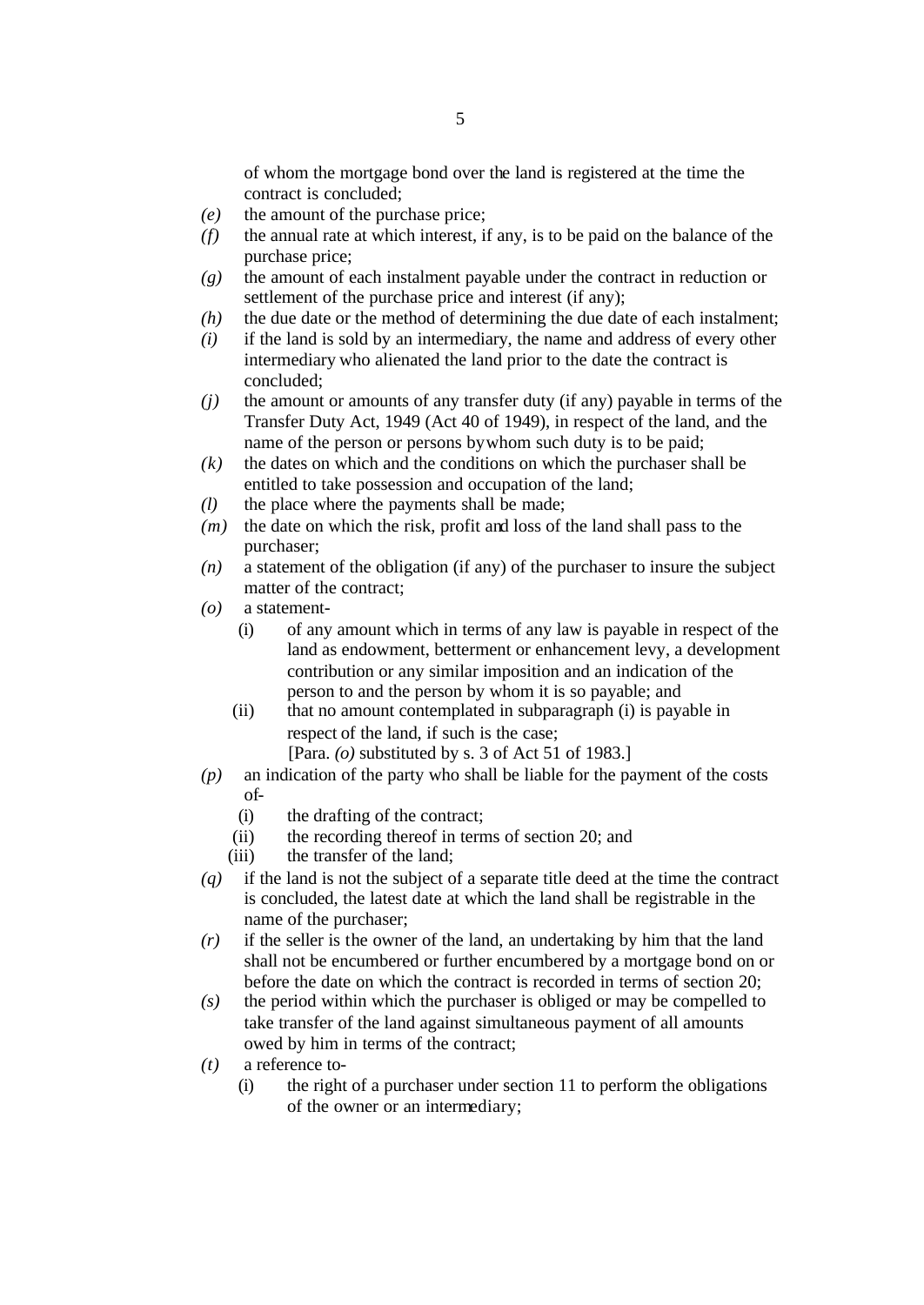of whom the mortgage bond over the land is registered at the time the contract is concluded;

- *(e)* the amount of the purchase price;
- *(f)* the annual rate at which interest, if any, is to be paid on the balance of the purchase price;
- *(g)* the amount of each instalment payable under the contract in reduction or settlement of the purchase price and interest (if any);
- *(h)* the due date or the method of determining the due date of each instalment;
- *(i)* if the land is sold by an intermediary, the name and address of every other intermediary who alienated the land prior to the date the contract is concluded;
- *(j)* the amount or amounts of any transfer duty (if any) payable in terms of the Transfer Duty Act, 1949 (Act 40 of 1949), in respect of the land, and the name of the person or persons by whom such duty is to be paid;
- *(k)* the dates on which and the conditions on which the purchaser shall be entitled to take possession and occupation of the land;
- *(l)* the place where the payments shall be made;
- *(m)* the date on which the risk, profit and loss of the land shall pass to the purchaser;
- *(n)* a statement of the obligation (if any) of the purchaser to insure the subject matter of the contract;
- *(o)* a statement-
	- (i) of any amount which in terms of any law is payable in respect of the land as endowment, betterment or enhancement levy, a development contribution or any similar imposition and an indication of the person to and the person by whom it is so payable; and
	- (ii) that no amount contemplated in subparagraph (i) is payable in respect of the land, if such is the case;
		- [Para. *(o)* substituted by s. 3 of Act 51 of 1983.]
- *(p)* an indication of the party who shall be liable for the payment of the costs of-
	- (i) the drafting of the contract;
	- (ii) the recording thereof in terms of section 20; and
	- (iii) the transfer of the land;
- *(q)* if the land is not the subject of a separate title deed at the time the contract is concluded, the latest date at which the land shall be registrable in the name of the purchaser;
- *(r)* if the seller is the owner of the land, an undertaking by him that the land shall not be encumbered or further encumbered by a mortgage bond on or before the date on which the contract is recorded in terms of section 20;
- *(s)* the period within which the purchaser is obliged or may be compelled to take transfer of the land against simultaneous payment of all amounts owed by him in terms of the contract;
- *(t)* a reference to-
	- (i) the right of a purchaser under section 11 to perform the obligations of the owner or an intermediary;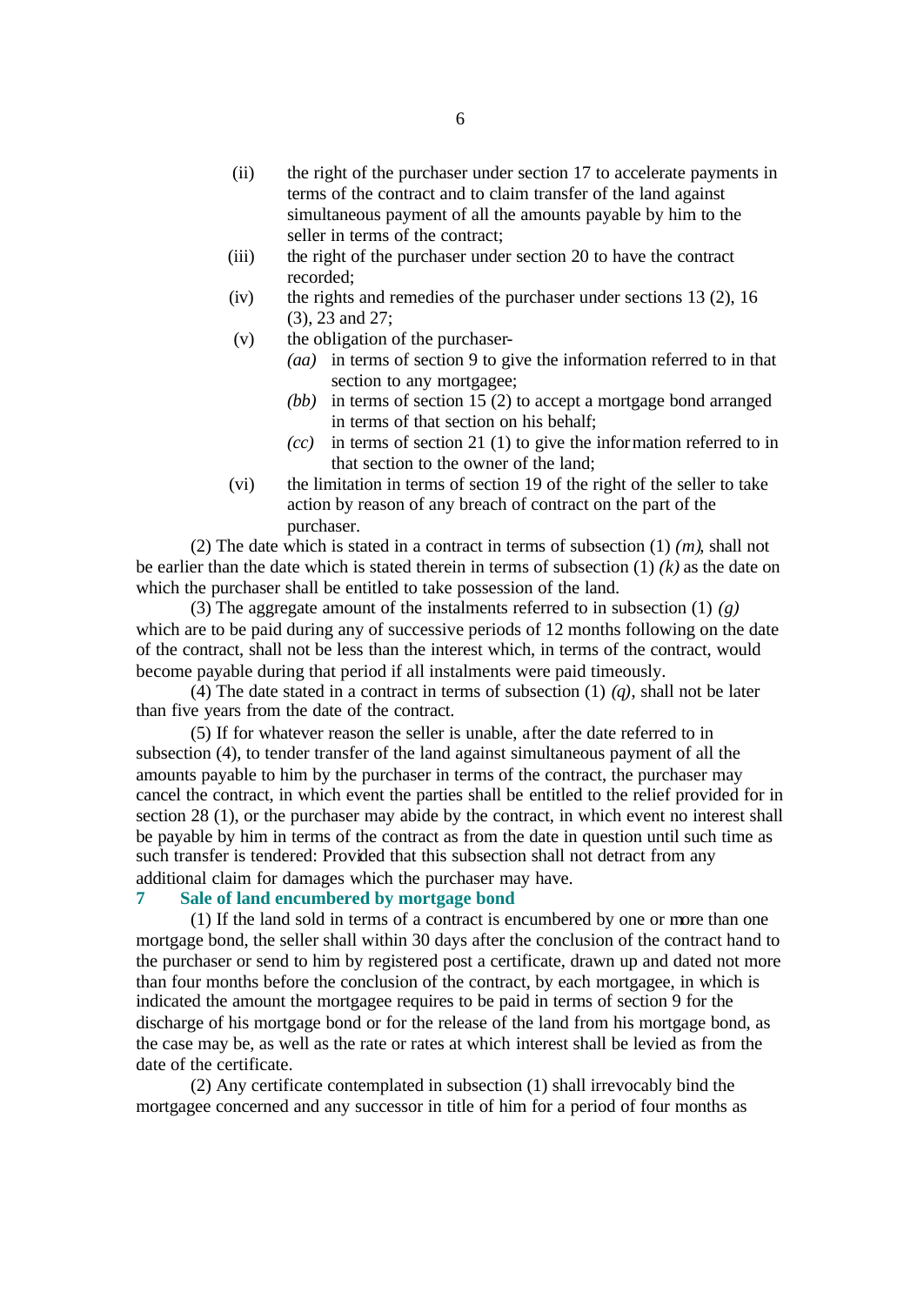- (ii) the right of the purchaser under section 17 to accelerate payments in terms of the contract and to claim transfer of the land against simultaneous payment of all the amounts payable by him to the seller in terms of the contract;
- (iii) the right of the purchaser under section 20 to have the contract recorded;
- (iv) the rights and remedies of the purchaser under sections 13 (2), 16 (3), 23 and 27;
- (v) the obligation of the purchaser-
	- *(aa)* in terms of section 9 to give the information referred to in that section to any mortgagee;
	- *(bb)* in terms of section 15 (2) to accept a mortgage bond arranged in terms of that section on his behalf;
	- *(cc)* in terms of section 21 (1) to give the information referred to in that section to the owner of the land;
- (vi) the limitation in terms of section 19 of the right of the seller to take action by reason of any breach of contract on the part of the purchaser.

(2) The date which is stated in a contract in terms of subsection (1) *(m)*, shall not be earlier than the date which is stated therein in terms of subsection (1) *(k)* as the date on which the purchaser shall be entitled to take possession of the land.

(3) The aggregate amount of the instalments referred to in subsection (1) *(g)* which are to be paid during any of successive periods of 12 months following on the date of the contract, shall not be less than the interest which, in terms of the contract, would become payable during that period if all instalments were paid timeously.

(4) The date stated in a contract in terms of subsection (1) *(q)*, shall not be later than five years from the date of the contract.

(5) If for whatever reason the seller is unable, after the date referred to in subsection (4), to tender transfer of the land against simultaneous payment of all the amounts payable to him by the purchaser in terms of the contract, the purchaser may cancel the contract, in which event the parties shall be entitled to the relief provided for in section 28 (1), or the purchaser may abide by the contract, in which event no interest shall be payable by him in terms of the contract as from the date in question until such time as such transfer is tendered: Provided that this subsection shall not detract from any additional claim for damages which the purchaser may have.

### **7 Sale of land encumbered by mortgage bond**

(1) If the land sold in terms of a contract is encumbered by one or more than one mortgage bond, the seller shall within 30 days after the conclusion of the contract hand to the purchaser or send to him by registered post a certificate, drawn up and dated not more than four months before the conclusion of the contract, by each mortgagee, in which is indicated the amount the mortgagee requires to be paid in terms of section 9 for the discharge of his mortgage bond or for the release of the land from his mortgage bond, as the case may be, as well as the rate or rates at which interest shall be levied as from the date of the certificate.

(2) Any certificate contemplated in subsection (1) shall irrevocably bind the mortgagee concerned and any successor in title of him for a period of four months as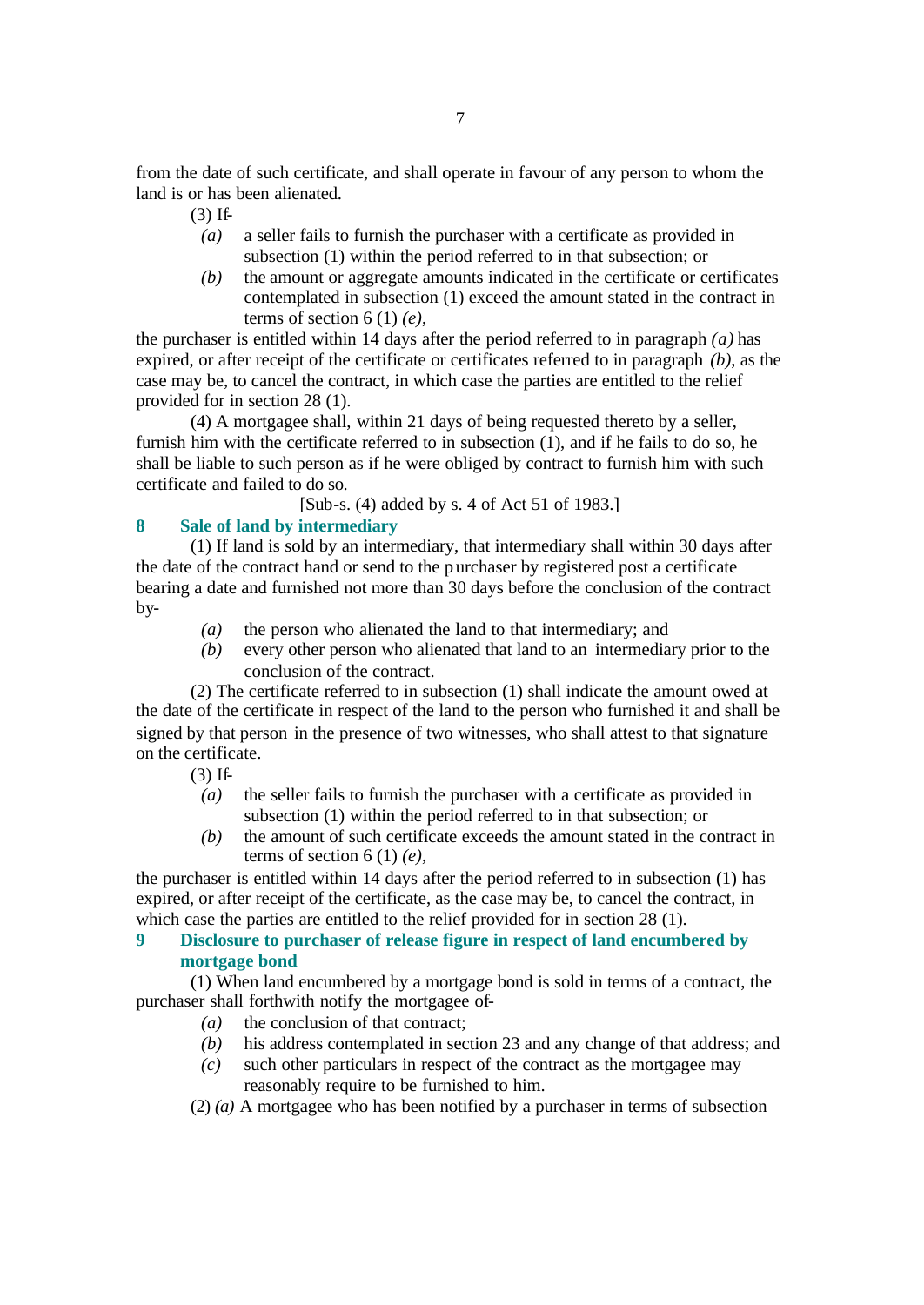from the date of such certificate, and shall operate in favour of any person to whom the land is or has been alienated.

 $(3)$  If-

- *(a)* a seller fails to furnish the purchaser with a certificate as provided in subsection (1) within the period referred to in that subsection; or
- *(b)* the amount or aggregate amounts indicated in the certificate or certificates contemplated in subsection (1) exceed the amount stated in the contract in terms of section 6 (1) *(e)*,

the purchaser is entitled within 14 days after the period referred to in paragraph *(a)* has expired, or after receipt of the certificate or certificates referred to in paragraph *(b)*, as the case may be, to cancel the contract, in which case the parties are entitled to the relief provided for in section 28 (1).

(4) A mortgagee shall, within 21 days of being requested thereto by a seller, furnish him with the certificate referred to in subsection (1), and if he fails to do so, he shall be liable to such person as if he were obliged by contract to furnish him with such certificate and failed to do so.

[Sub-s. (4) added by s. 4 of Act 51 of 1983.]

# **8 Sale of land by intermediary**

(1) If land is sold by an intermediary, that intermediary shall within 30 days after the date of the contract hand or send to the purchaser by registered post a certificate bearing a date and furnished not more than 30 days before the conclusion of the contract by-

- *(a)* the person who alienated the land to that intermediary; and
- *(b)* every other person who alienated that land to an intermediary prior to the conclusion of the contract.

(2) The certificate referred to in subsection (1) shall indicate the amount owed at the date of the certificate in respect of the land to the person who furnished it and shall be signed by that person in the presence of two witnesses, who shall attest to that signature on the certificate.

 $(3)$  If-

- *(a)* the seller fails to furnish the purchaser with a certificate as provided in subsection (1) within the period referred to in that subsection; or
- *(b)* the amount of such certificate exceeds the amount stated in the contract in terms of section 6 (1) *(e)*,

the purchaser is entitled within 14 days after the period referred to in subsection (1) has expired, or after receipt of the certificate, as the case may be, to cancel the contract, in which case the parties are entitled to the relief provided for in section 28 (1).

## **9 Disclosure to purchaser of release figure in respect of land encumbered by mortgage bond**

(1) When land encumbered by a mortgage bond is sold in terms of a contract, the purchaser shall forthwith notify the mortgagee of-

- *(a)* the conclusion of that contract;
- *(b)* his address contemplated in section 23 and any change of that address; and
- *(c)* such other particulars in respect of the contract as the mortgagee may reasonably require to be furnished to him.
- (2) *(a)* A mortgagee who has been notified by a purchaser in terms of subsection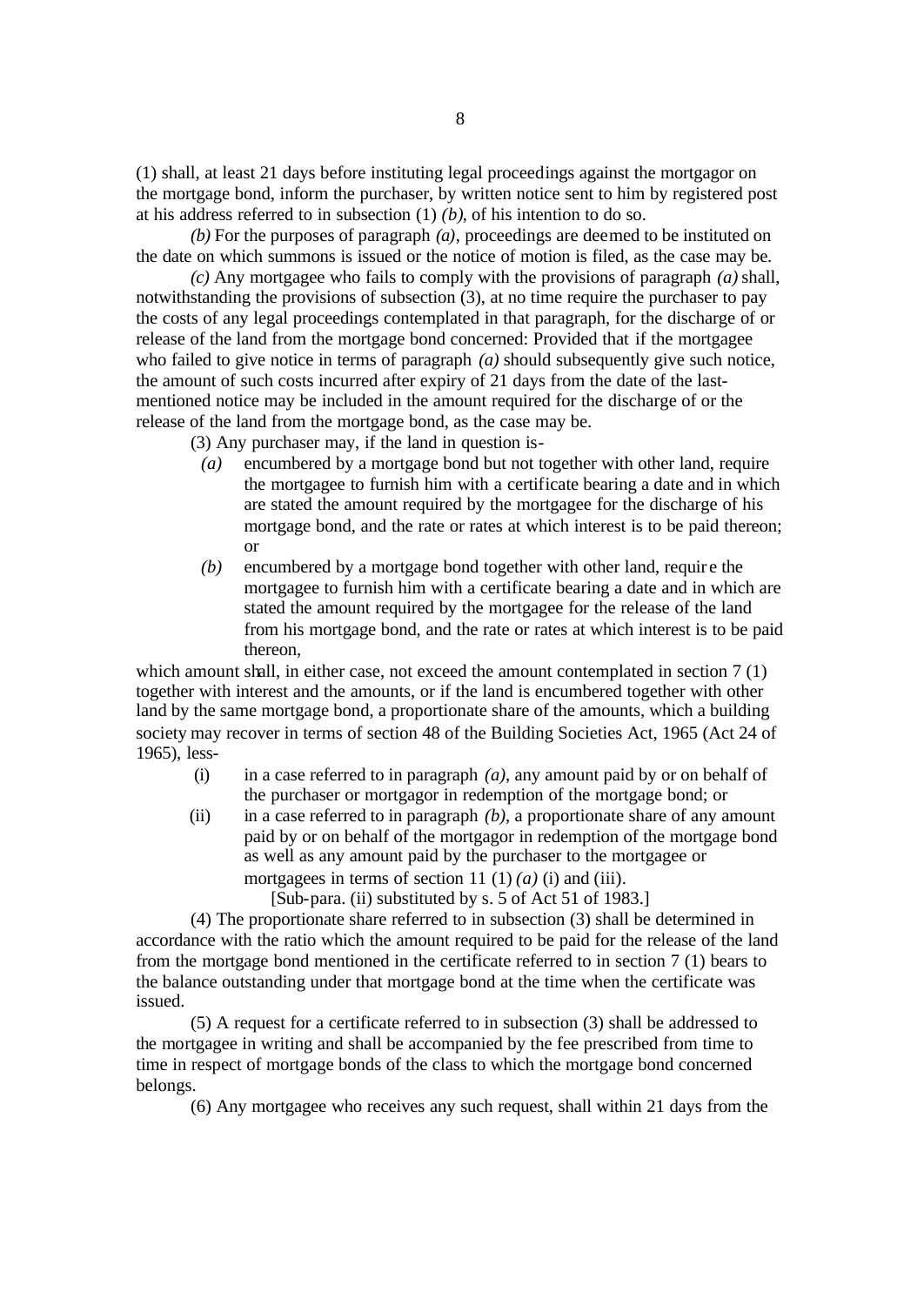(1) shall, at least 21 days before instituting legal proceedings against the mortgagor on the mortgage bond, inform the purchaser, by written notice sent to him by registered post at his address referred to in subsection (1) *(b)*, of his intention to do so.

*(b)* For the purposes of paragraph *(a)*, proceedings are deemed to be instituted on the date on which summons is issued or the notice of motion is filed, as the case may be.

*(c)* Any mortgagee who fails to comply with the provisions of paragraph *(a)* shall, notwithstanding the provisions of subsection (3), at no time require the purchaser to pay the costs of any legal proceedings contemplated in that paragraph, for the discharge of or release of the land from the mortgage bond concerned: Provided that if the mortgagee who failed to give notice in terms of paragraph *(a)* should subsequently give such notice, the amount of such costs incurred after expiry of 21 days from the date of the lastmentioned notice may be included in the amount required for the discharge of or the release of the land from the mortgage bond, as the case may be.

(3) Any purchaser may, if the land in question is-

- *(a)* encumbered by a mortgage bond but not together with other land, require the mortgagee to furnish him with a certificate bearing a date and in which are stated the amount required by the mortgagee for the discharge of his mortgage bond, and the rate or rates at which interest is to be paid thereon; or
- *(b)* encumbered by a mortgage bond together with other land, require the mortgagee to furnish him with a certificate bearing a date and in which are stated the amount required by the mortgagee for the release of the land from his mortgage bond, and the rate or rates at which interest is to be paid thereon,

which amount shall, in either case, not exceed the amount contemplated in section 7 (1) together with interest and the amounts, or if the land is encumbered together with other land by the same mortgage bond, a proportionate share of the amounts, which a building society may recover in terms of section 48 of the Building Societies Act, 1965 (Act 24 of 1965), less-

- (i) in a case referred to in paragraph *(a)*, any amount paid by or on behalf of the purchaser or mortgagor in redemption of the mortgage bond; or
- (ii) in a case referred to in paragraph *(b)*, a proportionate share of any amount paid by or on behalf of the mortgagor in redemption of the mortgage bond as well as any amount paid by the purchaser to the mortgagee or mortgagees in terms of section 11  $(1)$   $(a)$   $(i)$  and  $(iii)$ .
	- [Sub-para. (ii) substituted by s. 5 of Act 51 of 1983.]

(4) The proportionate share referred to in subsection (3) shall be determined in accordance with the ratio which the amount required to be paid for the release of the land from the mortgage bond mentioned in the certificate referred to in section 7 (1) bears to the balance outstanding under that mortgage bond at the time when the certificate was issued.

(5) A request for a certificate referred to in subsection (3) shall be addressed to the mortgagee in writing and shall be accompanied by the fee prescribed from time to time in respect of mortgage bonds of the class to which the mortgage bond concerned belongs.

(6) Any mortgagee who receives any such request, shall within 21 days from the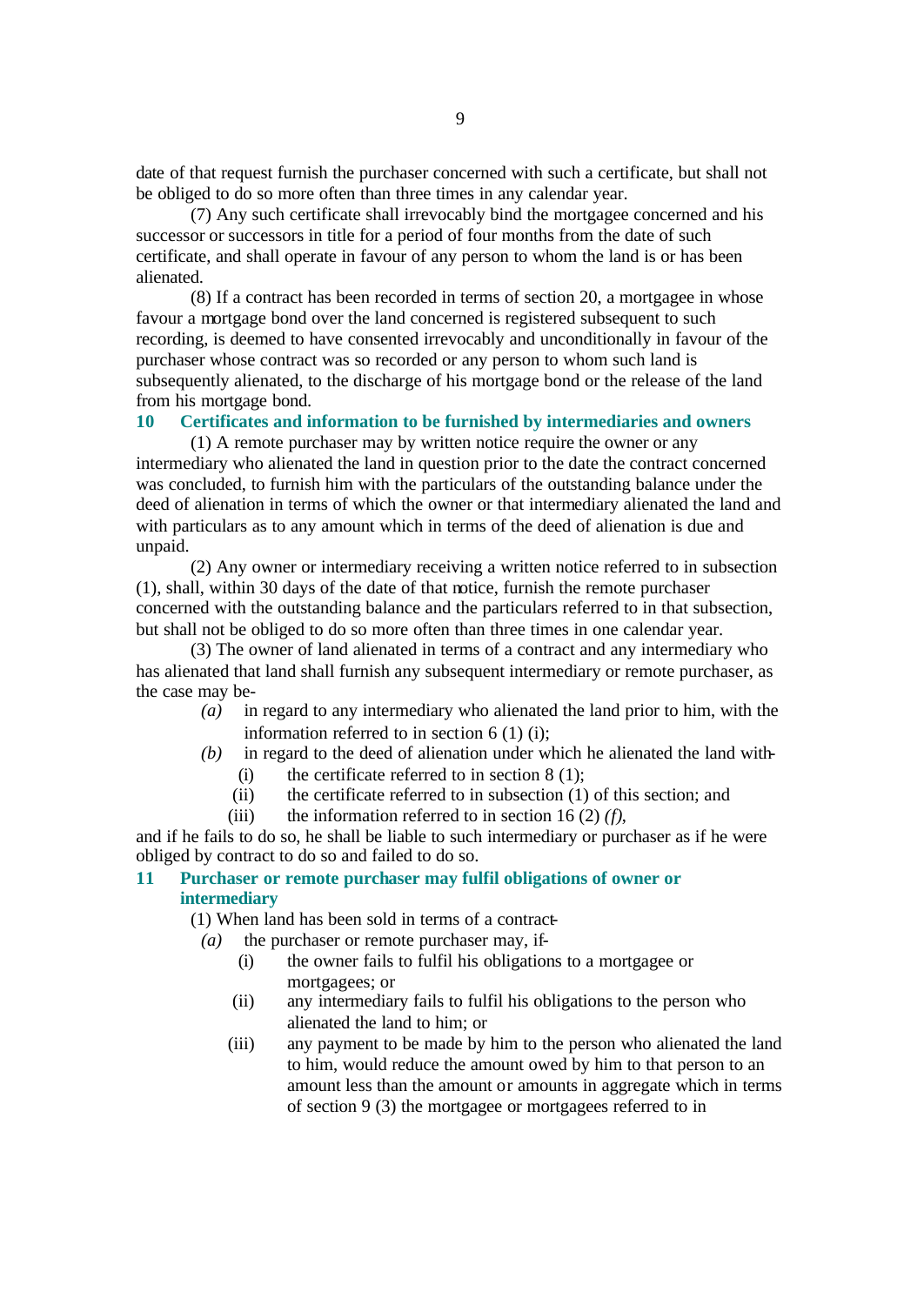date of that request furnish the purchaser concerned with such a certificate, but shall not be obliged to do so more often than three times in any calendar year.

(7) Any such certificate shall irrevocably bind the mortgagee concerned and his successor or successors in title for a period of four months from the date of such certificate, and shall operate in favour of any person to whom the land is or has been alienated.

(8) If a contract has been recorded in terms of section 20, a mortgagee in whose favour a mortgage bond over the land concerned is registered subsequent to such recording, is deemed to have consented irrevocably and unconditionally in favour of the purchaser whose contract was so recorded or any person to whom such land is subsequently alienated, to the discharge of his mortgage bond or the release of the land from his mortgage bond.

### **10 Certificates and information to be furnished by intermediaries and owners**

(1) A remote purchaser may by written notice require the owner or any intermediary who alienated the land in question prior to the date the contract concerned was concluded, to furnish him with the particulars of the outstanding balance under the deed of alienation in terms of which the owner or that intermediary alienated the land and with particulars as to any amount which in terms of the deed of alienation is due and unpaid.

(2) Any owner or intermediary receiving a written notice referred to in subsection (1), shall, within 30 days of the date of that notice, furnish the remote purchaser concerned with the outstanding balance and the particulars referred to in that subsection, but shall not be obliged to do so more often than three times in one calendar year.

(3) The owner of land alienated in terms of a contract and any intermediary who has alienated that land shall furnish any subsequent intermediary or remote purchaser, as the case may be-

- *(a)* in regard to any intermediary who alienated the land prior to him, with the information referred to in section 6 (1) (i);
- *(b)* in regard to the deed of alienation under which he alienated the land with-
	- (i) the certificate referred to in section  $8(1)$ ;
	- (ii) the certificate referred to in subsection (1) of this section; and
	- (iii) the information referred to in section 16  $(2)$   $(f)$ ,

and if he fails to do so, he shall be liable to such intermediary or purchaser as if he were obliged by contract to do so and failed to do so.

### **11 Purchaser or remote purchaser may fulfil obligations of owner or intermediary**

(1) When land has been sold in terms of a contract-

- *(a)* the purchaser or remote purchaser may, if-
	- (i) the owner fails to fulfil his obligations to a mortgagee or mortgagees; or
	- (ii) any intermediary fails to fulfil his obligations to the person who alienated the land to him; or
	- (iii) any payment to be made by him to the person who alienated the land to him, would reduce the amount owed by him to that person to an amount less than the amount or amounts in aggregate which in terms of section 9 (3) the mortgagee or mortgagees referred to in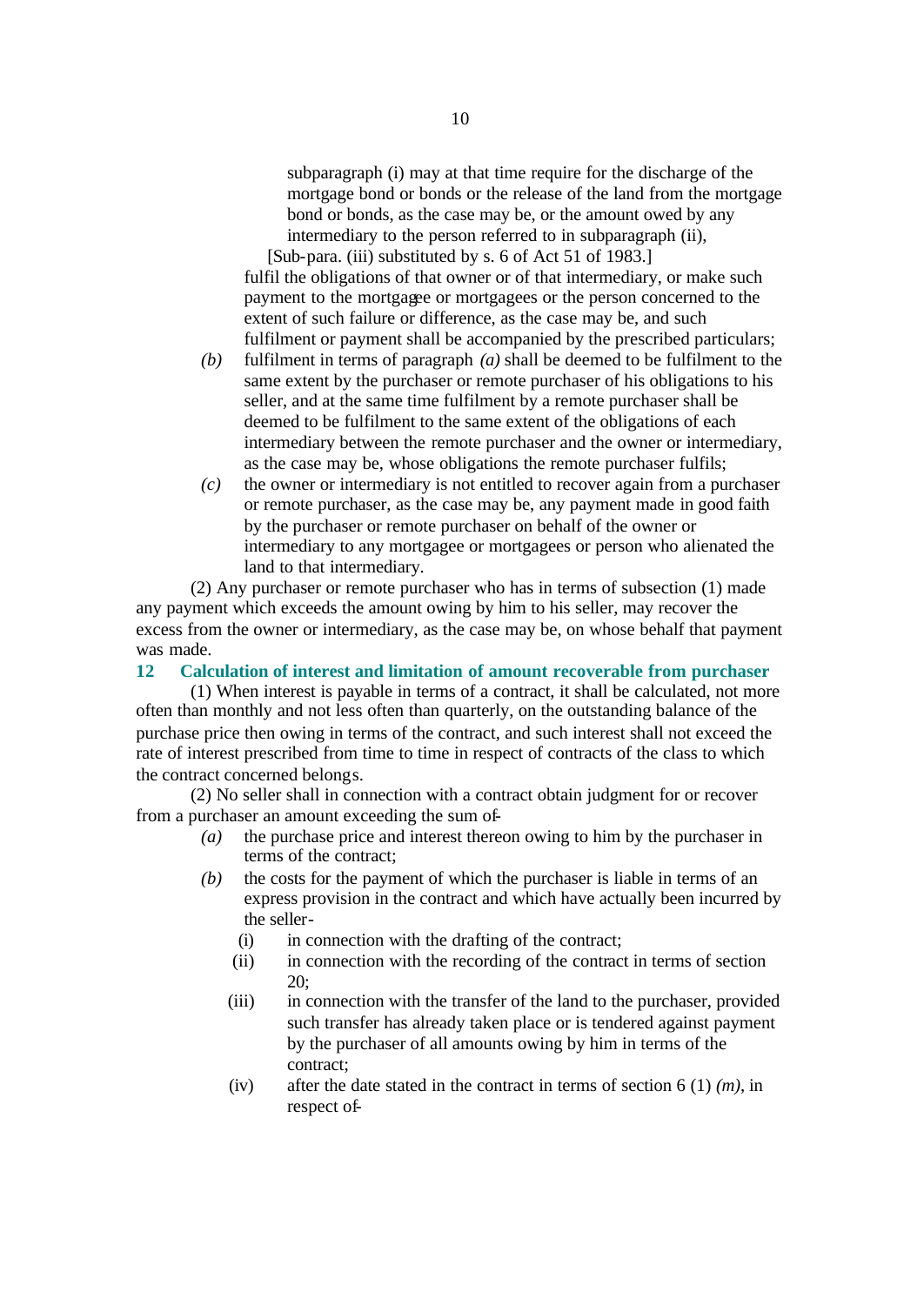subparagraph (i) may at that time require for the discharge of the mortgage bond or bonds or the release of the land from the mortgage bond or bonds, as the case may be, or the amount owed by any intermediary to the person referred to in subparagraph (ii), [Sub-para. (iii) substituted by s. 6 of Act 51 of 1983.]

fulfil the obligations of that owner or of that intermediary, or make such payment to the mortgagee or mortgagees or the person concerned to the extent of such failure or difference, as the case may be, and such fulfilment or payment shall be accompanied by the prescribed particulars;

- *(b)* fulfilment in terms of paragraph *(a)* shall be deemed to be fulfilment to the same extent by the purchaser or remote purchaser of his obligations to his seller, and at the same time fulfilment by a remote purchaser shall be deemed to be fulfilment to the same extent of the obligations of each intermediary between the remote purchaser and the owner or intermediary, as the case may be, whose obligations the remote purchaser fulfils;
- *(c)* the owner or intermediary is not entitled to recover again from a purchaser or remote purchaser, as the case may be, any payment made in good faith by the purchaser or remote purchaser on behalf of the owner or intermediary to any mortgagee or mortgagees or person who alienated the land to that intermediary.

(2) Any purchaser or remote purchaser who has in terms of subsection (1) made any payment which exceeds the amount owing by him to his seller, may recover the excess from the owner or intermediary, as the case may be, on whose behalf that payment was made.

### **12 Calculation of interest and limitation of amount recoverable from purchaser**

(1) When interest is payable in terms of a contract, it shall be calculated, not more often than monthly and not less often than quarterly, on the outstanding balance of the purchase price then owing in terms of the contract, and such interest shall not exceed the rate of interest prescribed from time to time in respect of contracts of the class to which the contract concerned belongs.

(2) No seller shall in connection with a contract obtain judgment for or recover from a purchaser an amount exceeding the sum of-

- *(a)* the purchase price and interest thereon owing to him by the purchaser in terms of the contract;
- *(b)* the costs for the payment of which the purchaser is liable in terms of an express provision in the contract and which have actually been incurred by the seller-
	- (i) in connection with the drafting of the contract;
	- (ii) in connection with the recording of the contract in terms of section  $20$
	- (iii) in connection with the transfer of the land to the purchaser, provided such transfer has already taken place or is tendered against payment by the purchaser of all amounts owing by him in terms of the contract;
	- (iv) after the date stated in the contract in terms of section 6 (1) *(m)*, in respect of-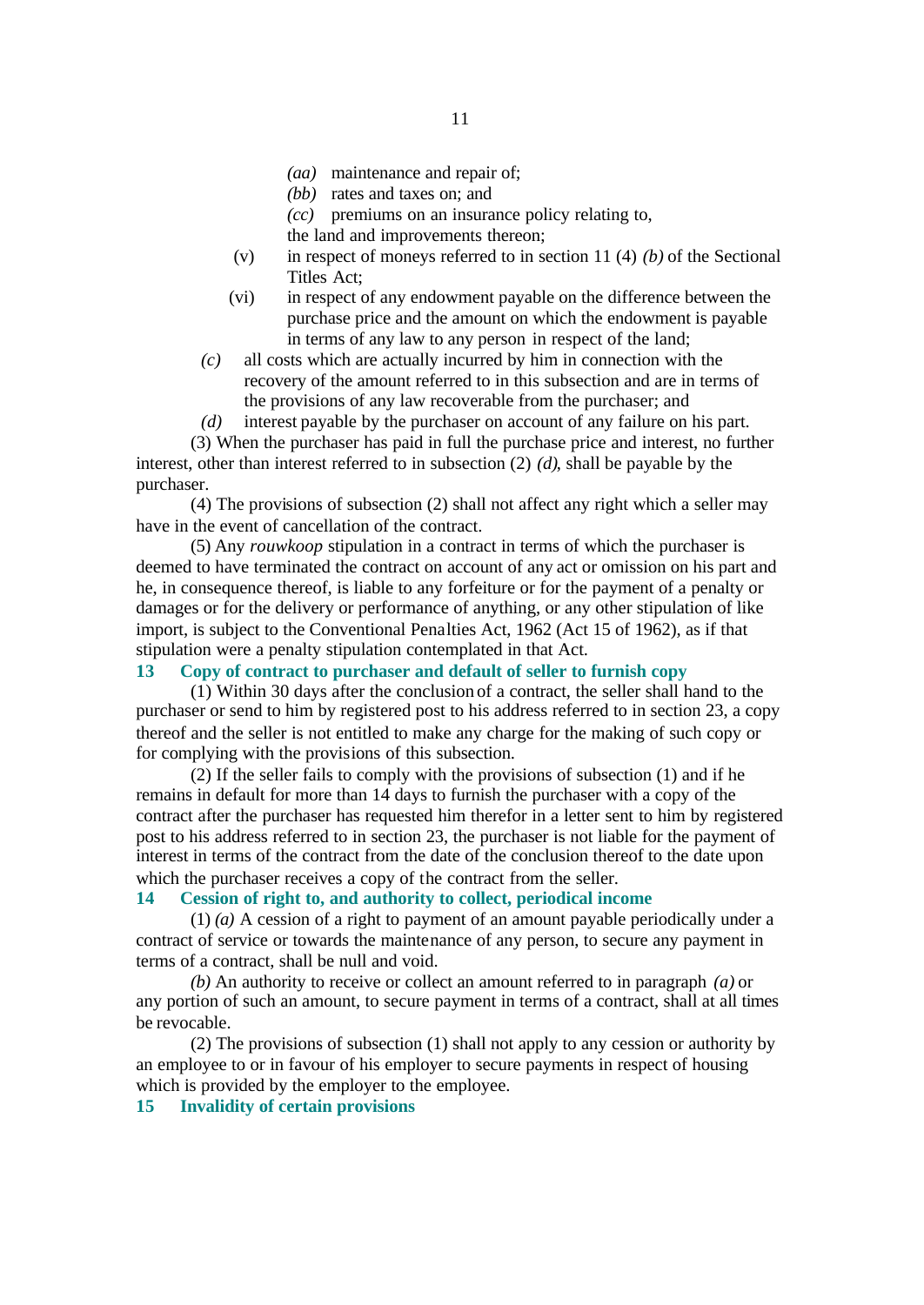- *(aa)* maintenance and repair of;
- *(bb)* rates and taxes on; and

*(cc)* premiums on an insurance policy relating to,

the land and improvements thereon;

- (v) in respect of moneys referred to in section 11 (4) *(b)* of the Sectional Titles Act;
- (vi) in respect of any endowment payable on the difference between the purchase price and the amount on which the endowment is payable in terms of any law to any person in respect of the land;
- *(c)* all costs which are actually incurred by him in connection with the recovery of the amount referred to in this subsection and are in terms of the provisions of any law recoverable from the purchaser; and
- *(d)* interest payable by the purchaser on account of any failure on his part.

(3) When the purchaser has paid in full the purchase price and interest, no further interest, other than interest referred to in subsection (2) *(d)*, shall be payable by the purchaser.

(4) The provisions of subsection (2) shall not affect any right which a seller may have in the event of cancellation of the contract.

(5) Any *rouwkoop* stipulation in a contract in terms of which the purchaser is deemed to have terminated the contract on account of any act or omission on his part and he, in consequence thereof, is liable to any forfeiture or for the payment of a penalty or damages or for the delivery or performance of anything, or any other stipulation of like import, is subject to the Conventional Penalties Act, 1962 (Act 15 of 1962), as if that stipulation were a penalty stipulation contemplated in that Act.

## **13 Copy of contract to purchaser and default of seller to furnish copy**

(1) Within 30 days after the conclusion of a contract, the seller shall hand to the purchaser or send to him by registered post to his address referred to in section 23, a copy thereof and the seller is not entitled to make any charge for the making of such copy or for complying with the provisions of this subsection.

(2) If the seller fails to comply with the provisions of subsection (1) and if he remains in default for more than 14 days to furnish the purchaser with a copy of the contract after the purchaser has requested him therefor in a letter sent to him by registered post to his address referred to in section 23, the purchaser is not liable for the payment of interest in terms of the contract from the date of the conclusion thereof to the date upon which the purchaser receives a copy of the contract from the seller.

## **14 Cession of right to, and authority to collect, periodical income**

(1) *(a)* A cession of a right to payment of an amount payable periodically under a contract of service or towards the maintenance of any person, to secure any payment in terms of a contract, shall be null and void.

*(b)* An authority to receive or collect an amount referred to in paragraph *(a)* or any portion of such an amount, to secure payment in terms of a contract, shall at all times be revocable.

(2) The provisions of subsection (1) shall not apply to any cession or authority by an employee to or in favour of his employer to secure payments in respect of housing which is provided by the employer to the employee.

**15 Invalidity of certain provisions**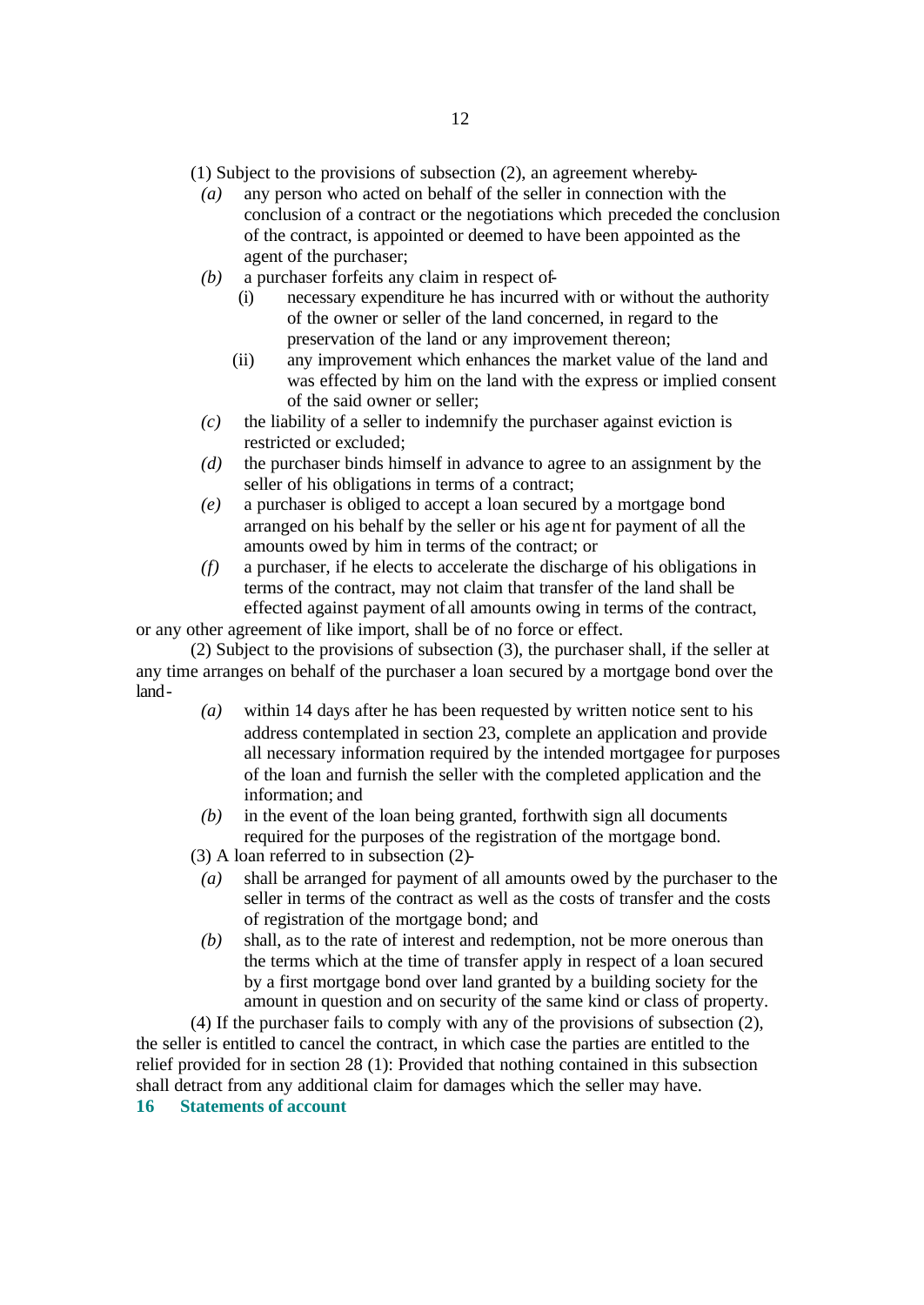- (1) Subject to the provisions of subsection (2), an agreement whereby-
- *(a)* any person who acted on behalf of the seller in connection with the conclusion of a contract or the negotiations which preceded the conclusion of the contract, is appointed or deemed to have been appointed as the agent of the purchaser;
- *(b)* a purchaser forfeits any claim in respect of-
	- (i) necessary expenditure he has incurred with or without the authority of the owner or seller of the land concerned, in regard to the preservation of the land or any improvement thereon;
	- (ii) any improvement which enhances the market value of the land and was effected by him on the land with the express or implied consent of the said owner or seller;
- *(c)* the liability of a seller to indemnify the purchaser against eviction is restricted or excluded;
- *(d)* the purchaser binds himself in advance to agree to an assignment by the seller of his obligations in terms of a contract;
- *(e)* a purchaser is obliged to accept a loan secured by a mortgage bond arranged on his behalf by the seller or his agent for payment of all the amounts owed by him in terms of the contract; or
- *(f)* a purchaser, if he elects to accelerate the discharge of his obligations in terms of the contract, may not claim that transfer of the land shall be effected against payment of all amounts owing in terms of the contract,

or any other agreement of like import, shall be of no force or effect.

(2) Subject to the provisions of subsection (3), the purchaser shall, if the seller at any time arranges on behalf of the purchaser a loan secured by a mortgage bond over the land-

- *(a)* within 14 days after he has been requested by written notice sent to his address contemplated in section 23, complete an application and provide all necessary information required by the intended mortgagee for purposes of the loan and furnish the seller with the completed application and the information; and
- *(b)* in the event of the loan being granted, forthwith sign all documents required for the purposes of the registration of the mortgage bond.
- (3) A loan referred to in subsection (2)-
	- *(a)* shall be arranged for payment of all amounts owed by the purchaser to the seller in terms of the contract as well as the costs of transfer and the costs of registration of the mortgage bond; and
	- *(b)* shall, as to the rate of interest and redemption, not be more onerous than the terms which at the time of transfer apply in respect of a loan secured by a first mortgage bond over land granted by a building society for the amount in question and on security of the same kind or class of property.

(4) If the purchaser fails to comply with any of the provisions of subsection (2), the seller is entitled to cancel the contract, in which case the parties are entitled to the relief provided for in section 28 (1): Provided that nothing contained in this subsection shall detract from any additional claim for damages which the seller may have.

### **16 Statements of account**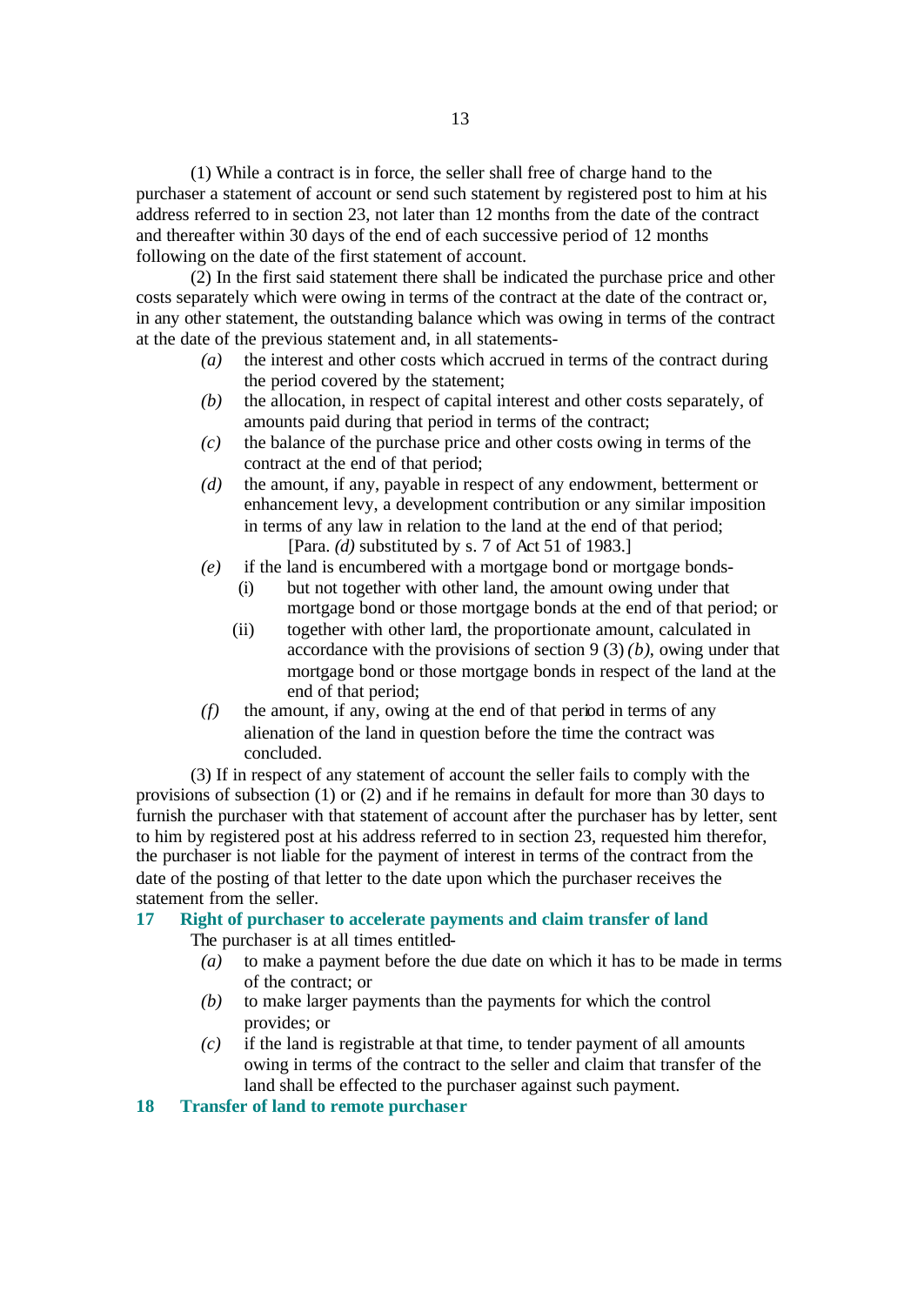(1) While a contract is in force, the seller shall free of charge hand to the purchaser a statement of account or send such statement by registered post to him at his address referred to in section 23, not later than 12 months from the date of the contract and thereafter within 30 days of the end of each successive period of 12 months following on the date of the first statement of account.

(2) In the first said statement there shall be indicated the purchase price and other costs separately which were owing in terms of the contract at the date of the contract or, in any other statement, the outstanding balance which was owing in terms of the contract at the date of the previous statement and, in all statements-

- *(a)* the interest and other costs which accrued in terms of the contract during the period covered by the statement;
- *(b)* the allocation, in respect of capital interest and other costs separately, of amounts paid during that period in terms of the contract;
- *(c)* the balance of the purchase price and other costs owing in terms of the contract at the end of that period;
- *(d)* the amount, if any, payable in respect of any endowment, betterment or enhancement levy, a development contribution or any similar imposition in terms of any law in relation to the land at the end of that period; [Para. *(d)* substituted by s. 7 of Act 51 of 1983.]
- *(e)* if the land is encumbered with a mortgage bond or mortgage bonds-
	- (i) but not together with other land, the amount owing under that mortgage bond or those mortgage bonds at the end of that period; or
	- (ii) together with other land, the proportionate amount, calculated in accordance with the provisions of section 9 (3) *(b)*, owing under that mortgage bond or those mortgage bonds in respect of the land at the end of that period;
- *(f)* the amount, if any, owing at the end of that period in terms of any alienation of the land in question before the time the contract was concluded.

(3) If in respect of any statement of account the seller fails to comply with the provisions of subsection (1) or (2) and if he remains in default for more than 30 days to furnish the purchaser with that statement of account after the purchaser has by letter, sent to him by registered post at his address referred to in section 23, requested him therefor, the purchaser is not liable for the payment of interest in terms of the contract from the date of the posting of that letter to the date upon which the purchaser receives the statement from the seller.

# **17 Right of purchaser to accelerate payments and claim transfer of land**

The purchaser is at all times entitled-

- *(a)* to make a payment before the due date on which it has to be made in terms of the contract; or
- *(b)* to make larger payments than the payments for which the control provides; or
- *(c)* if the land is registrable at that time, to tender payment of all amounts owing in terms of the contract to the seller and claim that transfer of the land shall be effected to the purchaser against such payment.
- **18 Transfer of land to remote purchaser**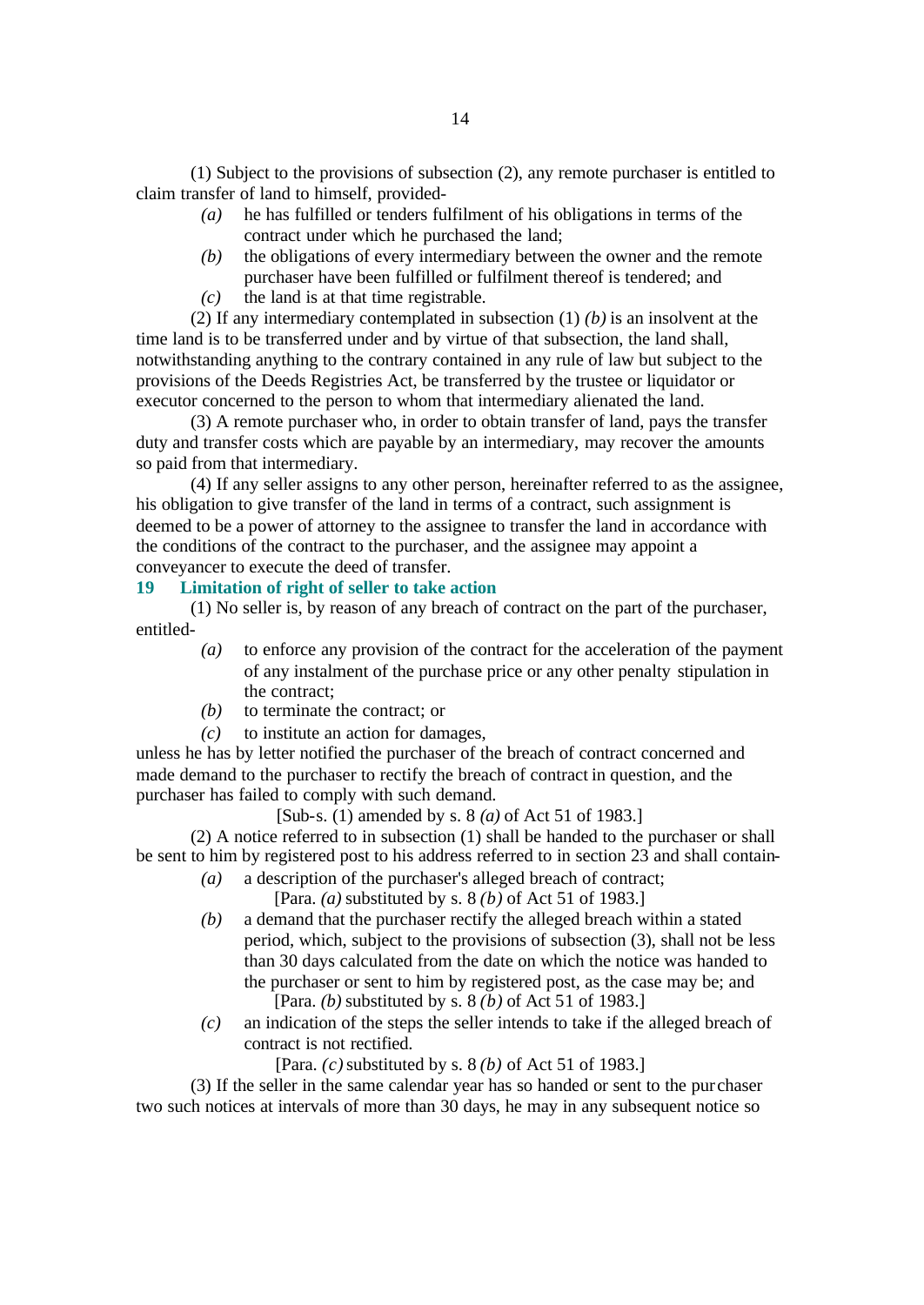(1) Subject to the provisions of subsection (2), any remote purchaser is entitled to claim transfer of land to himself, provided-

- *(a)* he has fulfilled or tenders fulfilment of his obligations in terms of the contract under which he purchased the land;
- *(b)* the obligations of every intermediary between the owner and the remote purchaser have been fulfilled or fulfilment thereof is tendered; and *(c)* the land is at that time registrable.

(2) If any intermediary contemplated in subsection (1) *(b)* is an insolvent at the time land is to be transferred under and by virtue of that subsection, the land shall, notwithstanding anything to the contrary contained in any rule of law but subject to the provisions of the Deeds Registries Act, be transferred by the trustee or liquidator or executor concerned to the person to whom that intermediary alienated the land.

(3) A remote purchaser who, in order to obtain transfer of land, pays the transfer duty and transfer costs which are payable by an intermediary, may recover the amounts so paid from that intermediary.

(4) If any seller assigns to any other person, hereinafter referred to as the assignee, his obligation to give transfer of the land in terms of a contract, such assignment is deemed to be a power of attorney to the assignee to transfer the land in accordance with the conditions of the contract to the purchaser, and the assignee may appoint a conveyancer to execute the deed of transfer.

### **19 Limitation of right of seller to take action**

(1) No seller is, by reason of any breach of contract on the part of the purchaser, entitled-

- *(a)* to enforce any provision of the contract for the acceleration of the payment of any instalment of the purchase price or any other penalty stipulation in the contract;
- *(b)* to terminate the contract; or
- *(c)* to institute an action for damages,

unless he has by letter notified the purchaser of the breach of contract concerned and made demand to the purchaser to rectify the breach of contract in question, and the purchaser has failed to comply with such demand.

[Sub-s. (1) amended by s. 8 *(a)* of Act 51 of 1983.]

(2) A notice referred to in subsection (1) shall be handed to the purchaser or shall be sent to him by registered post to his address referred to in section 23 and shall contain-

- *(a)* a description of the purchaser's alleged breach of contract; [Para. *(a)* substituted by s. 8 *(b)* of Act 51 of 1983.]
- *(b)* a demand that the purchaser rectify the alleged breach within a stated period, which, subject to the provisions of subsection (3), shall not be less than 30 days calculated from the date on which the notice was handed to the purchaser or sent to him by registered post, as the case may be; and [Para. *(b)* substituted by s. 8 *(b)* of Act 51 of 1983.]
- *(c)* an indication of the steps the seller intends to take if the alleged breach of contract is not rectified.

[Para. *(c)* substituted by s. 8 *(b)* of Act 51 of 1983.]

(3) If the seller in the same calendar year has so handed or sent to the pur chaser two such notices at intervals of more than 30 days, he may in any subsequent notice so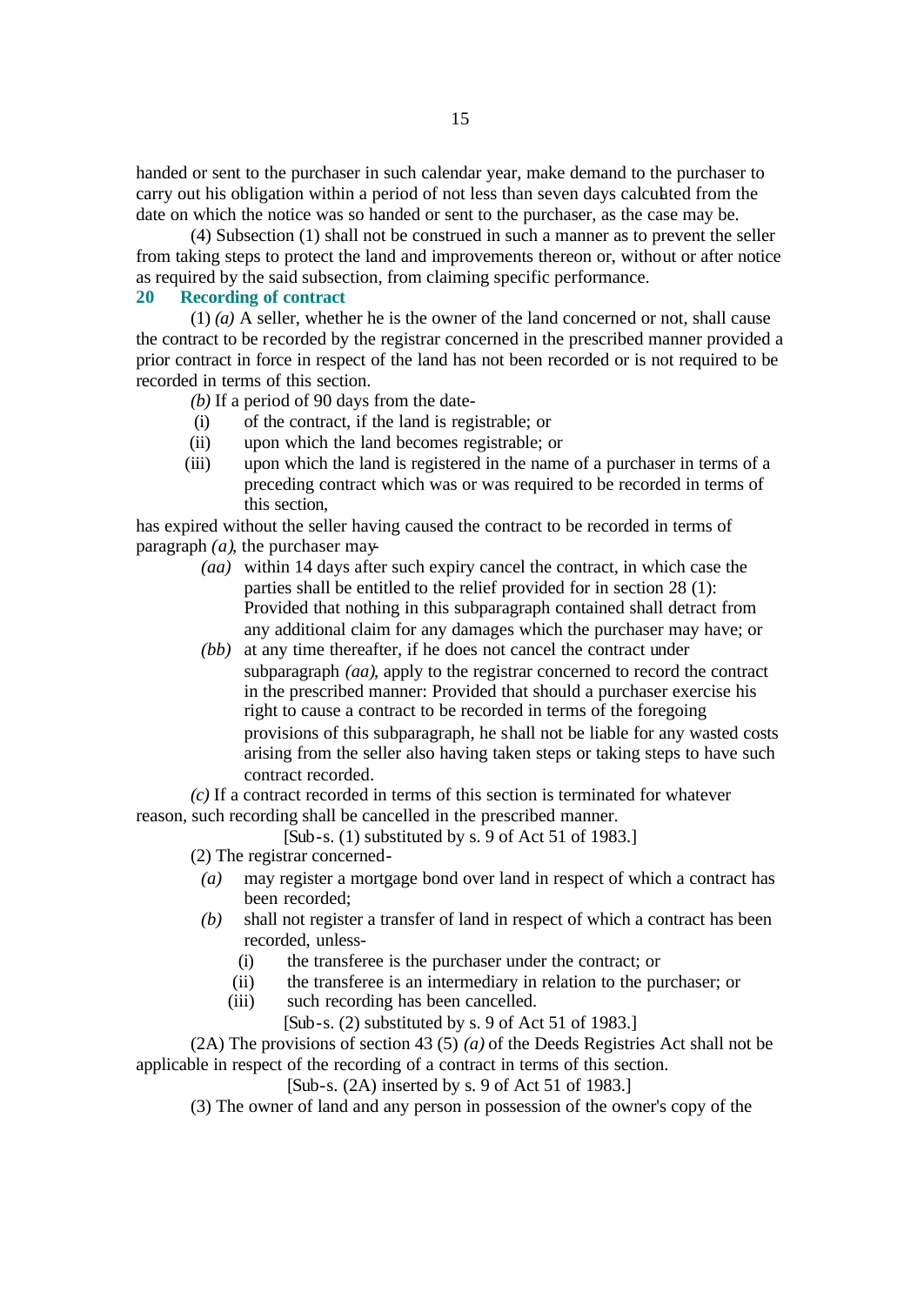handed or sent to the purchaser in such calendar year, make demand to the purchaser to carry out his obligation within a period of not less than seven days calculated from the date on which the notice was so handed or sent to the purchaser, as the case may be.

(4) Subsection (1) shall not be construed in such a manner as to prevent the seller from taking steps to protect the land and improvements thereon or, without or after notice as required by the said subsection, from claiming specific performance.

# **20 Recording of contract**

(1) *(a)* A seller, whether he is the owner of the land concerned or not, shall cause the contract to be recorded by the registrar concerned in the prescribed manner provided a prior contract in force in respect of the land has not been recorded or is not required to be recorded in terms of this section.

- *(b)* If a period of 90 days from the date-
- (i) of the contract, if the land is registrable; or
- (ii) upon which the land becomes registrable; or
- (iii) upon which the land is registered in the name of a purchaser in terms of a preceding contract which was or was required to be recorded in terms of this section,

has expired without the seller having caused the contract to be recorded in terms of paragraph *(a)*, the purchaser may-

- *(aa)* within 14 days after such expiry cancel the contract, in which case the parties shall be entitled to the relief provided for in section 28 (1): Provided that nothing in this subparagraph contained shall detract from any additional claim for any damages which the purchaser may have; or
- *(bb)* at any time thereafter, if he does not cancel the contract under subparagraph *(aa)*, apply to the registrar concerned to record the contract in the prescribed manner: Provided that should a purchaser exercise his right to cause a contract to be recorded in terms of the foregoing provisions of this subparagraph, he shall not be liable for any wasted costs arising from the seller also having taken steps or taking steps to have such contract recorded.

*(c)* If a contract recorded in terms of this section is terminated for whatever reason, such recording shall be cancelled in the prescribed manner.

[Sub-s. (1) substituted by s. 9 of Act 51 of 1983.]

- (2) The registrar concerned-
- *(a)* may register a mortgage bond over land in respect of which a contract has been recorded;
- *(b)* shall not register a transfer of land in respect of which a contract has been recorded, unless-
	- (i) the transferee is the purchaser under the contract; or
	- (ii) the transferee is an intermediary in relation to the purchaser; or
	- (iii) such recording has been cancelled.

[Sub-s. (2) substituted by s. 9 of Act 51 of 1983.]

(2A) The provisions of section 43 (5) *(a)* of the Deeds Registries Act shall not be applicable in respect of the recording of a contract in terms of this section.

[Sub-s. (2A) inserted by s. 9 of Act 51 of 1983.]

(3) The owner of land and any person in possession of the owner's copy of the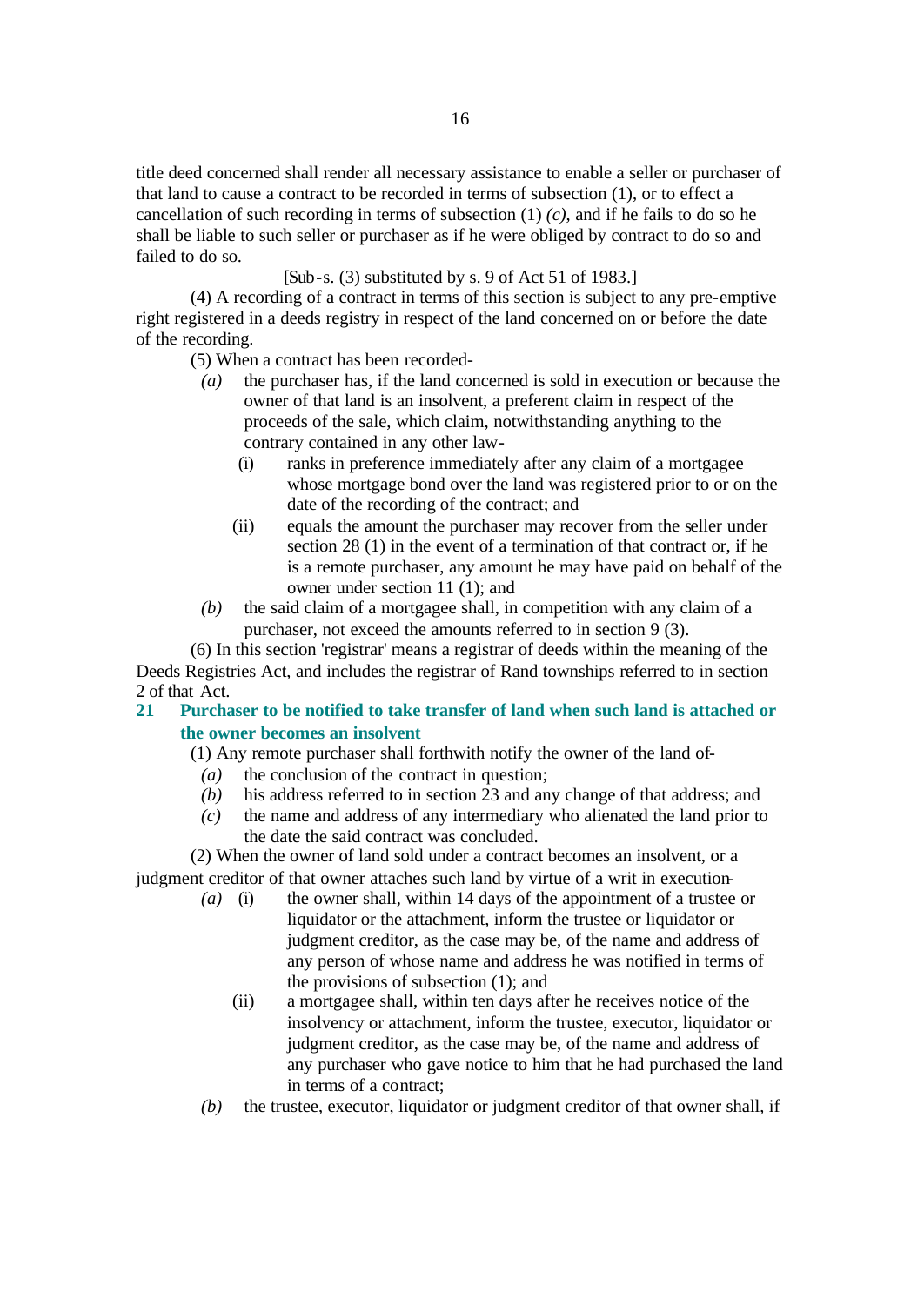title deed concerned shall render all necessary assistance to enable a seller or purchaser of that land to cause a contract to be recorded in terms of subsection (1), or to effect a cancellation of such recording in terms of subsection (1) *(c)*, and if he fails to do so he shall be liable to such seller or purchaser as if he were obliged by contract to do so and failed to do so.

## $[Sub-s. (3)$  substituted by s. 9 of Act 51 of 1983.

(4) A recording of a contract in terms of this section is subject to any pre-emptive right registered in a deeds registry in respect of the land concerned on or before the date of the recording.

(5) When a contract has been recorded-

- *(a)* the purchaser has, if the land concerned is sold in execution or because the owner of that land is an insolvent, a preferent claim in respect of the proceeds of the sale, which claim, notwithstanding anything to the contrary contained in any other law-
	- (i) ranks in preference immediately after any claim of a mortgagee whose mortgage bond over the land was registered prior to or on the date of the recording of the contract; and
	- (ii) equals the amount the purchaser may recover from the seller under section 28 (1) in the event of a termination of that contract or, if he is a remote purchaser, any amount he may have paid on behalf of the owner under section 11 (1); and
- *(b)* the said claim of a mortgagee shall, in competition with any claim of a purchaser, not exceed the amounts referred to in section 9 (3).

(6) In this section 'registrar' means a registrar of deeds within the meaning of the Deeds Registries Act, and includes the registrar of Rand townships referred to in section 2 of that Act.

## **21 Purchaser to be notified to take transfer of land when such land is attached or the owner becomes an insolvent**

(1) Any remote purchaser shall forthwith notify the owner of the land of-

- *(a)* the conclusion of the contract in question;
- *(b)* his address referred to in section 23 and any change of that address; and
- *(c)* the name and address of any intermediary who alienated the land prior to the date the said contract was concluded.

(2) When the owner of land sold under a contract becomes an insolvent, or a judgment creditor of that owner attaches such land by virtue of a writ in execution-

- *(a)* (i) the owner shall, within 14 days of the appointment of a trustee or liquidator or the attachment, inform the trustee or liquidator or judgment creditor, as the case may be, of the name and address of any person of whose name and address he was notified in terms of the provisions of subsection (1); and
	- (ii) a mortgagee shall, within ten days after he receives notice of the insolvency or attachment, inform the trustee, executor, liquidator or judgment creditor, as the case may be, of the name and address of any purchaser who gave notice to him that he had purchased the land in terms of a contract;
- *(b)* the trustee, executor, liquidator or judgment creditor of that owner shall, if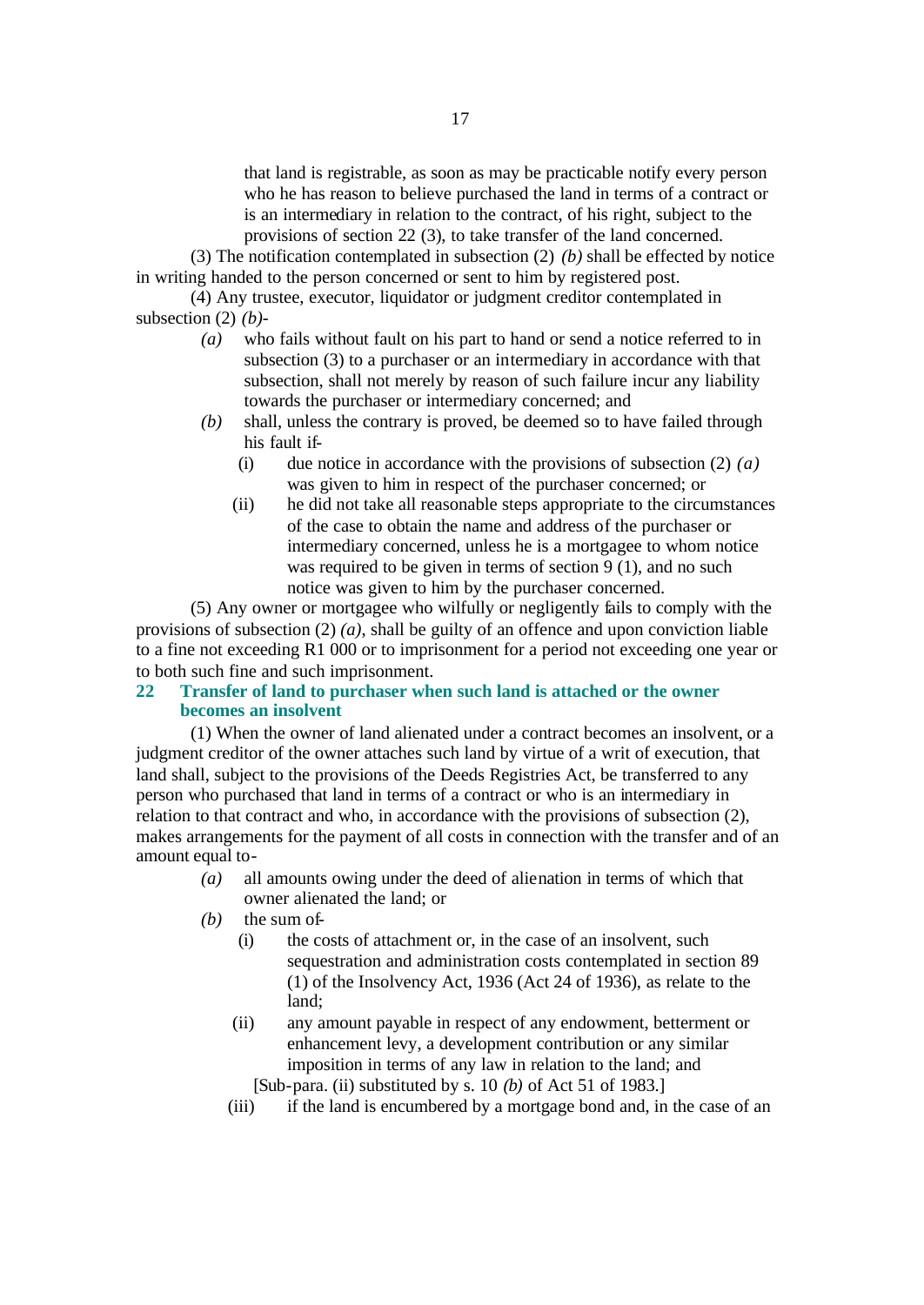that land is registrable, as soon as may be practicable notify every person who he has reason to believe purchased the land in terms of a contract or is an intermediary in relation to the contract, of his right, subject to the provisions of section 22 (3), to take transfer of the land concerned.

(3) The notification contemplated in subsection (2) *(b)* shall be effected by notice in writing handed to the person concerned or sent to him by registered post.

(4) Any trustee, executor, liquidator or judgment creditor contemplated in subsection (2) *(b)*-

- *(a)* who fails without fault on his part to hand or send a notice referred to in subsection (3) to a purchaser or an intermediary in accordance with that subsection, shall not merely by reason of such failure incur any liability towards the purchaser or intermediary concerned; and
- *(b)* shall, unless the contrary is proved, be deemed so to have failed through his fault if-
	- (i) due notice in accordance with the provisions of subsection (2) *(a)* was given to him in respect of the purchaser concerned; or
	- (ii) he did not take all reasonable steps appropriate to the circumstances of the case to obtain the name and address of the purchaser or intermediary concerned, unless he is a mortgagee to whom notice was required to be given in terms of section 9 (1), and no such notice was given to him by the purchaser concerned.

(5) Any owner or mortgagee who wilfully or negligently fails to comply with the provisions of subsection (2) *(a)*, shall be guilty of an offence and upon conviction liable to a fine not exceeding R1 000 or to imprisonment for a period not exceeding one year or to both such fine and such imprisonment.

## **22 Transfer of land to purchaser when such land is attached or the owner becomes an insolvent**

(1) When the owner of land alienated under a contract becomes an insolvent, or a judgment creditor of the owner attaches such land by virtue of a writ of execution, that land shall, subject to the provisions of the Deeds Registries Act, be transferred to any person who purchased that land in terms of a contract or who is an intermediary in relation to that contract and who, in accordance with the provisions of subsection (2), makes arrangements for the payment of all costs in connection with the transfer and of an amount equal to-

- *(a)* all amounts owing under the deed of alienation in terms of which that owner alienated the land; or
- *(b)* the sum of-
	- (i) the costs of attachment or, in the case of an insolvent, such sequestration and administration costs contemplated in section 89 (1) of the Insolvency Act, 1936 (Act 24 of 1936), as relate to the land;
	- (ii) any amount payable in respect of any endowment, betterment or enhancement levy, a development contribution or any similar imposition in terms of any law in relation to the land; and

[Sub-para. (ii) substituted by s. 10 *(b)* of Act 51 of 1983.]

(iii) if the land is encumbered by a mortgage bond and, in the case of an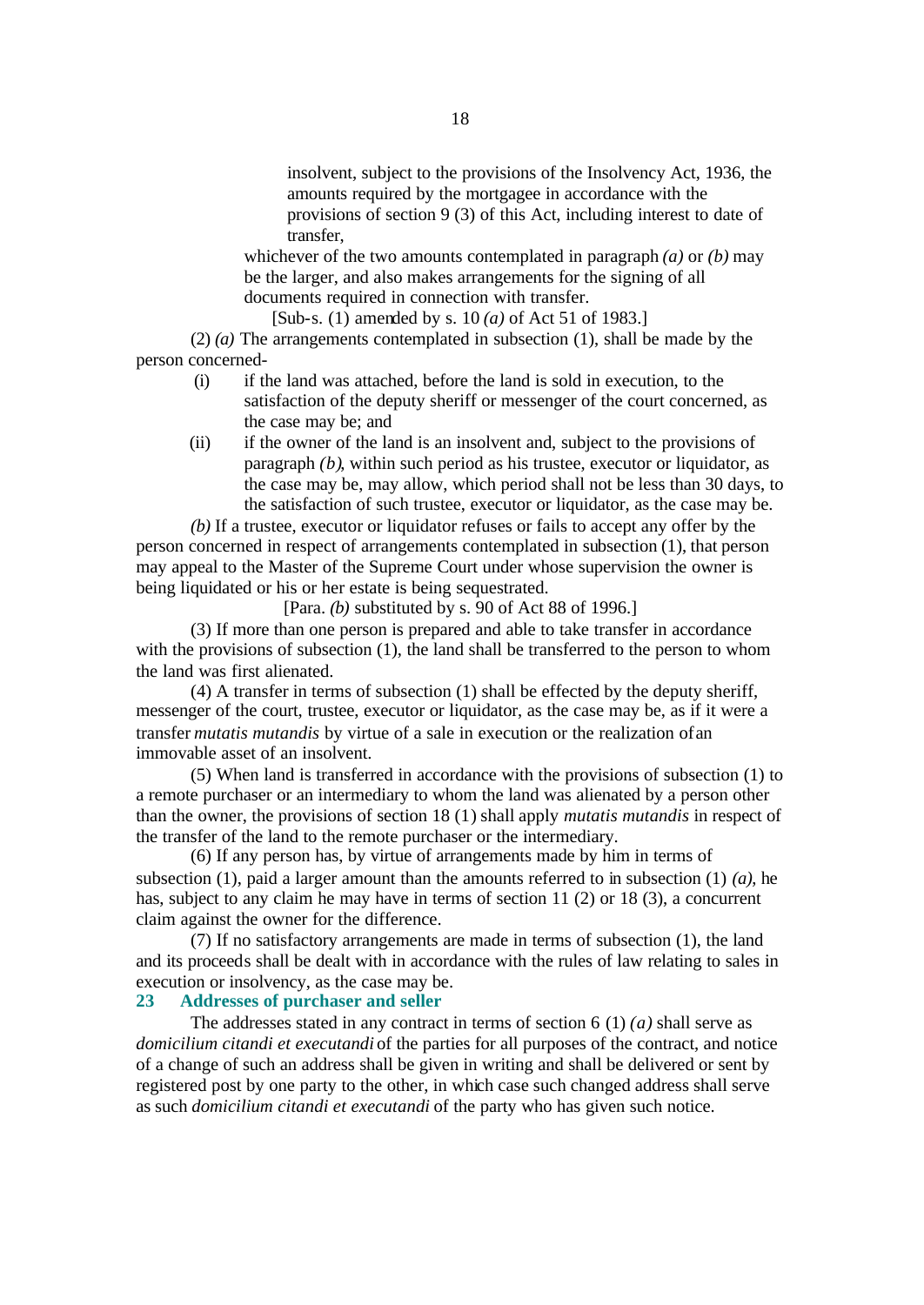insolvent, subject to the provisions of the Insolvency Act, 1936, the amounts required by the mortgagee in accordance with the provisions of section 9 (3) of this Act, including interest to date of transfer,

whichever of the two amounts contemplated in paragraph *(a)* or *(b)* may be the larger, and also makes arrangements for the signing of all documents required in connection with transfer.

[Sub-s. (1) amended by s. 10 *(a)* of Act 51 of 1983.]

(2) *(a)* The arrangements contemplated in subsection (1), shall be made by the person concerned-

- (i) if the land was attached, before the land is sold in execution, to the satisfaction of the deputy sheriff or messenger of the court concerned, as the case may be; and
- (ii) if the owner of the land is an insolvent and, subject to the provisions of paragraph *(b)*, within such period as his trustee, executor or liquidator, as the case may be, may allow, which period shall not be less than 30 days, to the satisfaction of such trustee, executor or liquidator, as the case may be.

*(b)* If a trustee, executor or liquidator refuses or fails to accept any offer by the person concerned in respect of arrangements contemplated in subsection (1), that person may appeal to the Master of the Supreme Court under whose supervision the owner is being liquidated or his or her estate is being sequestrated.

[Para. *(b)* substituted by s. 90 of Act 88 of 1996.]

(3) If more than one person is prepared and able to take transfer in accordance with the provisions of subsection (1), the land shall be transferred to the person to whom the land was first alienated.

(4) A transfer in terms of subsection (1) shall be effected by the deputy sheriff, messenger of the court, trustee, executor or liquidator, as the case may be, as if it were a transfer *mutatis mutandis* by virtue of a sale in execution or the realization of an immovable asset of an insolvent.

(5) When land is transferred in accordance with the provisions of subsection (1) to a remote purchaser or an intermediary to whom the land was alienated by a person other than the owner, the provisions of section 18 (1) shall apply *mutatis mutandis* in respect of the transfer of the land to the remote purchaser or the intermediary.

(6) If any person has, by virtue of arrangements made by him in terms of subsection (1), paid a larger amount than the amounts referred to in subsection (1) *(a)*, he has, subject to any claim he may have in terms of section 11 (2) or 18 (3), a concurrent claim against the owner for the difference.

(7) If no satisfactory arrangements are made in terms of subsection (1), the land and its proceeds shall be dealt with in accordance with the rules of law relating to sales in execution or insolvency, as the case may be.

## **23 Addresses of purchaser and seller**

The addresses stated in any contract in terms of section 6 (1) *(a)* shall serve as *domicilium citandi et executandi* of the parties for all purposes of the contract, and notice of a change of such an address shall be given in writing and shall be delivered or sent by registered post by one party to the other, in which case such changed address shall serve as such *domicilium citandi et executandi* of the party who has given such notice.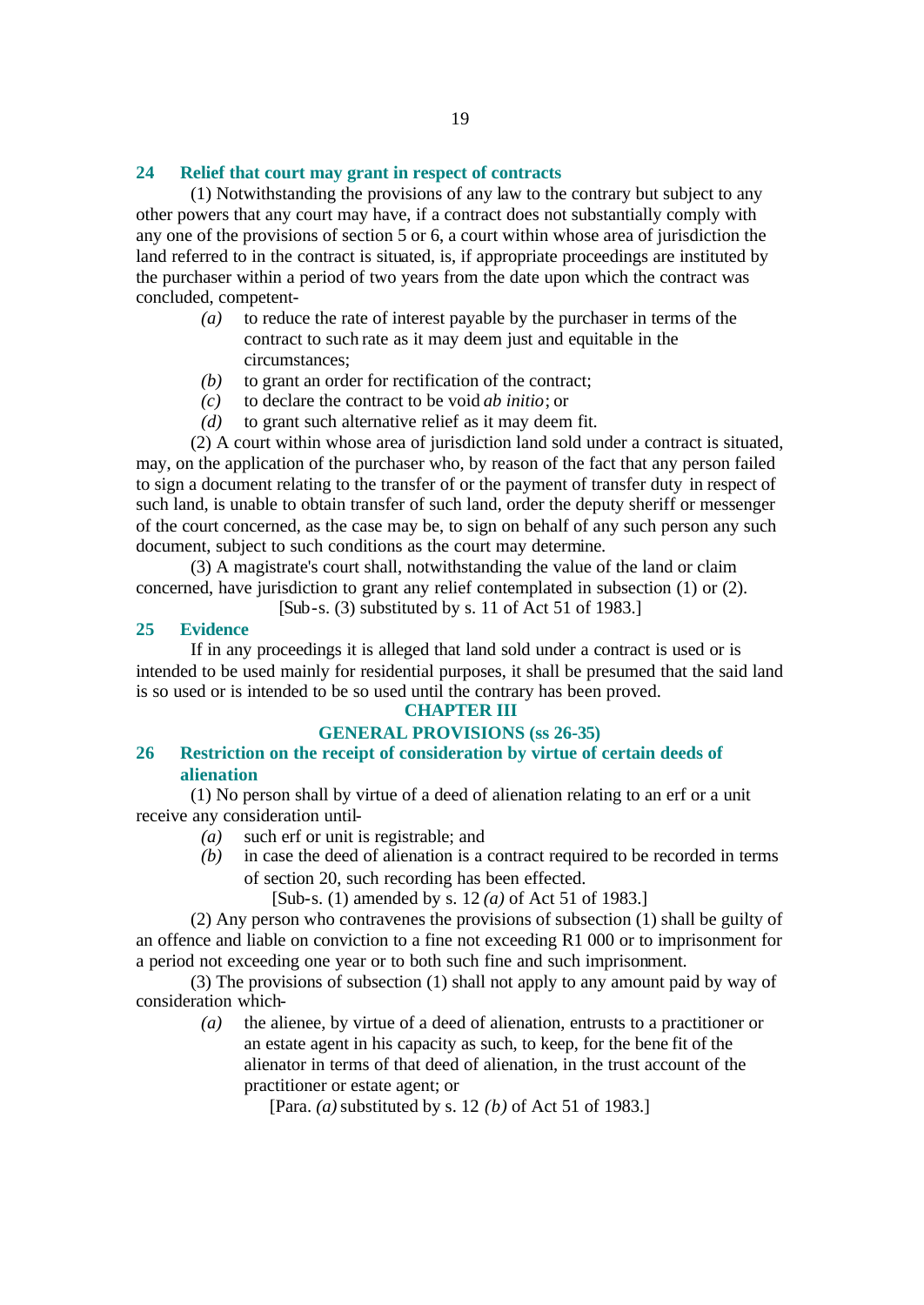### **24 Relief that court may grant in respect of contracts**

(1) Notwithstanding the provisions of any law to the contrary but subject to any other powers that any court may have, if a contract does not substantially comply with any one of the provisions of section 5 or 6, a court within whose area of jurisdiction the land referred to in the contract is situated, is, if appropriate proceedings are instituted by the purchaser within a period of two years from the date upon which the contract was concluded, competent-

- *(a)* to reduce the rate of interest payable by the purchaser in terms of the contract to such rate as it may deem just and equitable in the circumstances;
- *(b)* to grant an order for rectification of the contract;
- *(c)* to declare the contract to be void *ab initio*; or
- *(d)* to grant such alternative relief as it may deem fit.

(2) A court within whose area of jurisdiction land sold under a contract is situated, may, on the application of the purchaser who, by reason of the fact that any person failed to sign a document relating to the transfer of or the payment of transfer duty in respect of such land, is unable to obtain transfer of such land, order the deputy sheriff or messenger of the court concerned, as the case may be, to sign on behalf of any such person any such document, subject to such conditions as the court may determine.

(3) A magistrate's court shall, notwithstanding the value of the land or claim concerned, have jurisdiction to grant any relief contemplated in subsection (1) or (2).

[Sub-s. (3) substituted by s. 11 of Act 51 of 1983.]

### **25 Evidence**

If in any proceedings it is alleged that land sold under a contract is used or is intended to be used mainly for residential purposes, it shall be presumed that the said land is so used or is intended to be so used until the contrary has been proved.

# **CHAPTER III**

## **GENERAL PROVISIONS (ss 26-35)**

### **26 Restriction on the receipt of consideration by virtue of certain deeds of alienation**

(1) No person shall by virtue of a deed of alienation relating to an erf or a unit receive any consideration until-

- *(a)* such erf or unit is registrable; and
- *(b)* in case the deed of alienation is a contract required to be recorded in terms of section 20, such recording has been effected.
	- [Sub-s. (1) amended by s. 12 *(a)* of Act 51 of 1983.]

(2) Any person who contravenes the provisions of subsection (1) shall be guilty of an offence and liable on conviction to a fine not exceeding R1 000 or to imprisonment for a period not exceeding one year or to both such fine and such imprisonment.

(3) The provisions of subsection (1) shall not apply to any amount paid by way of consideration which-

*(a)* the alienee, by virtue of a deed of alienation, entrusts to a practitioner or an estate agent in his capacity as such, to keep, for the bene fit of the alienator in terms of that deed of alienation, in the trust account of the practitioner or estate agent; or

[Para. *(a)* substituted by s. 12 *(b)* of Act 51 of 1983.]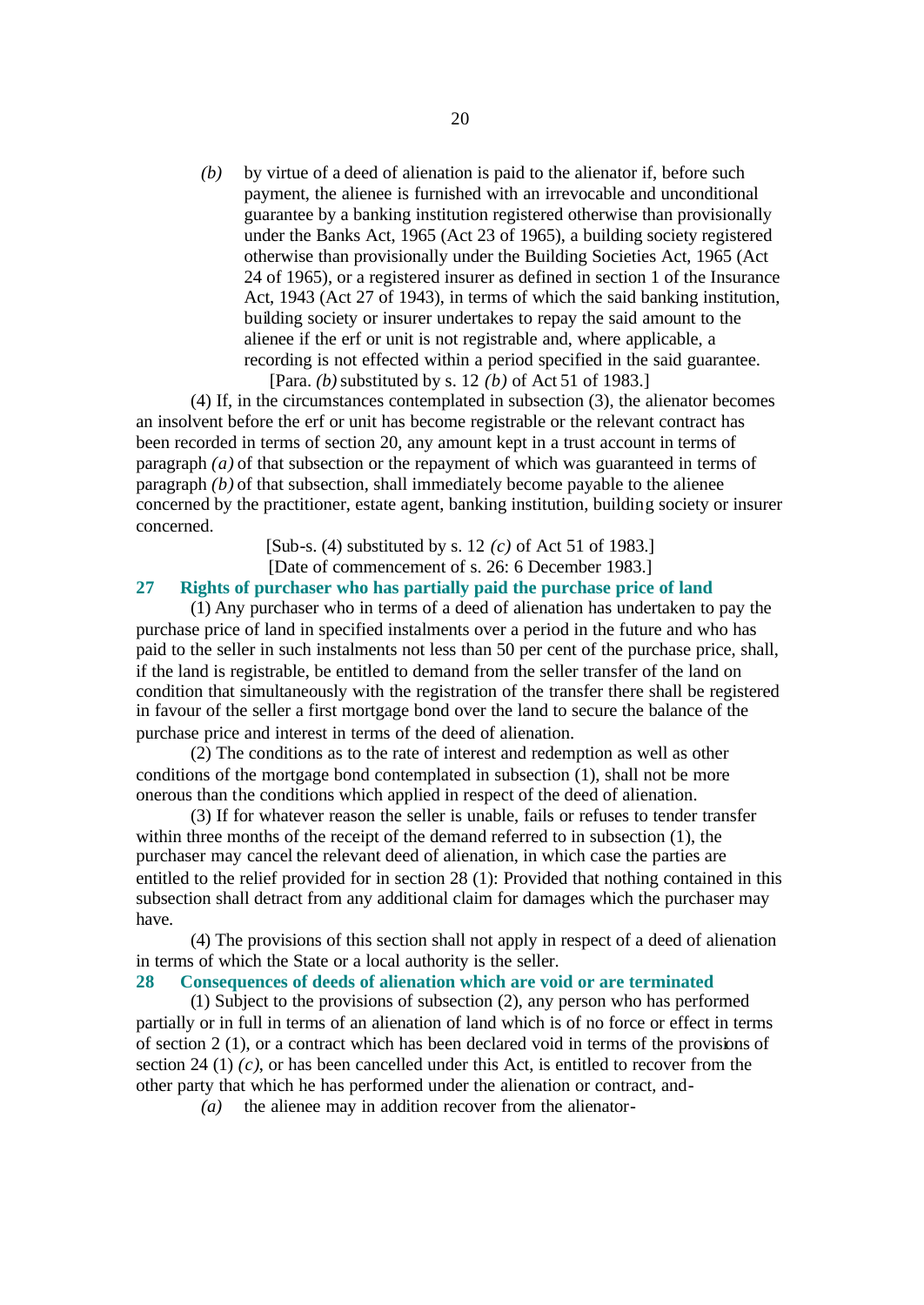*(b)* by virtue of a deed of alienation is paid to the alienator if, before such payment, the alienee is furnished with an irrevocable and unconditional guarantee by a banking institution registered otherwise than provisionally under the Banks Act, 1965 (Act 23 of 1965), a building society registered otherwise than provisionally under the Building Societies Act, 1965 (Act 24 of 1965), or a registered insurer as defined in section 1 of the Insurance Act, 1943 (Act 27 of 1943), in terms of which the said banking institution, building society or insurer undertakes to repay the said amount to the alienee if the erf or unit is not registrable and, where applicable, a recording is not effected within a period specified in the said guarantee. [Para. *(b)* substituted by s. 12 *(b)* of Act 51 of 1983.]

(4) If, in the circumstances contemplated in subsection (3), the alienator becomes an insolvent before the erf or unit has become registrable or the relevant contract has been recorded in terms of section 20, any amount kept in a trust account in terms of paragraph *(a)* of that subsection or the repayment of which was guaranteed in terms of paragraph *(b)* of that subsection, shall immediately become payable to the alienee concerned by the practitioner, estate agent, banking institution, building society or insurer concerned.

[Sub-s. (4) substituted by s. 12 *(c)* of Act 51 of 1983.]

[Date of commencement of s. 26: 6 December 1983.]

### **27 Rights of purchaser who has partially paid the purchase price of land**

(1) Any purchaser who in terms of a deed of alienation has undertaken to pay the purchase price of land in specified instalments over a period in the future and who has paid to the seller in such instalments not less than 50 per cent of the purchase price, shall, if the land is registrable, be entitled to demand from the seller transfer of the land on condition that simultaneously with the registration of the transfer there shall be registered in favour of the seller a first mortgage bond over the land to secure the balance of the purchase price and interest in terms of the deed of alienation.

(2) The conditions as to the rate of interest and redemption as well as other conditions of the mortgage bond contemplated in subsection (1), shall not be more onerous than the conditions which applied in respect of the deed of alienation.

(3) If for whatever reason the seller is unable, fails or refuses to tender transfer within three months of the receipt of the demand referred to in subsection (1), the purchaser may cancel the relevant deed of alienation, in which case the parties are entitled to the relief provided for in section 28 (1): Provided that nothing contained in this subsection shall detract from any additional claim for damages which the purchaser may have.

(4) The provisions of this section shall not apply in respect of a deed of alienation in terms of which the State or a local authority is the seller.

## **28 Consequences of deeds of alienation which are void or are terminated**

(1) Subject to the provisions of subsection (2), any person who has performed partially or in full in terms of an alienation of land which is of no force or effect in terms of section 2 (1), or a contract which has been declared void in terms of the provisions of section 24 (1) *(c)*, or has been cancelled under this Act, is entitled to recover from the other party that which he has performed under the alienation or contract, and-

*(a)* the alienee may in addition recover from the alienator-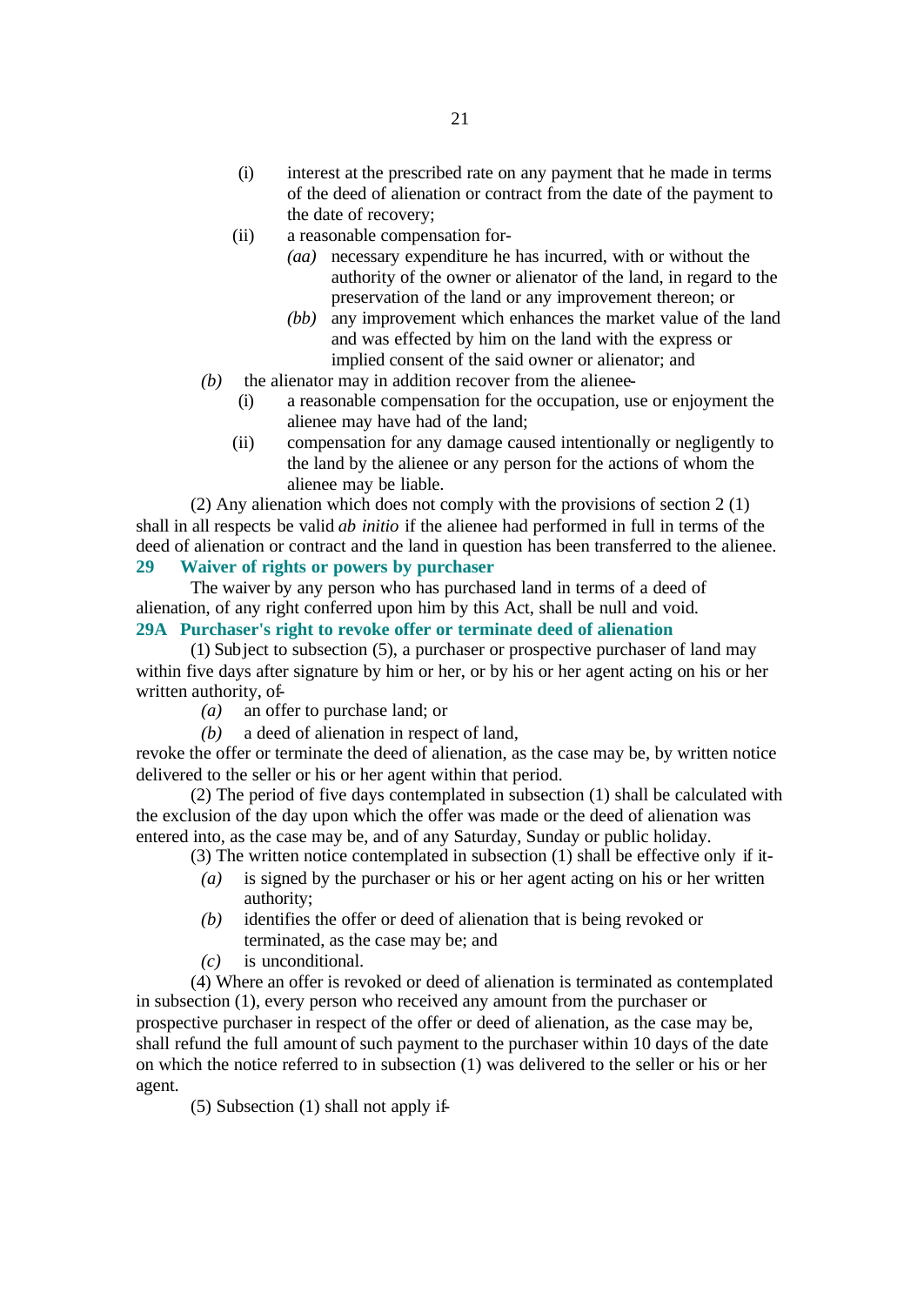- (i) interest at the prescribed rate on any payment that he made in terms of the deed of alienation or contract from the date of the payment to the date of recovery;
- (ii) a reasonable compensation for-
	- *(aa)* necessary expenditure he has incurred, with or without the authority of the owner or alienator of the land, in regard to the preservation of the land or any improvement thereon; or
	- *(bb)* any improvement which enhances the market value of the land and was effected by him on the land with the express or implied consent of the said owner or alienator; and
- *(b)* the alienator may in addition recover from the alienee-
	- (i) a reasonable compensation for the occupation, use or enjoyment the alienee may have had of the land;
	- (ii) compensation for any damage caused intentionally or negligently to the land by the alienee or any person for the actions of whom the alienee may be liable.

(2) Any alienation which does not comply with the provisions of section 2 (1) shall in all respects be valid *ab initio* if the alienee had performed in full in terms of the deed of alienation or contract and the land in question has been transferred to the alienee. **29 Waiver of rights or powers by purchaser**

The waiver by any person who has purchased land in terms of a deed of alienation, of any right conferred upon him by this Act, shall be null and void. **29A Purchaser's right to revoke offer or terminate deed of alienation**

(1) Subject to subsection (5), a purchaser or prospective purchaser of land may within five days after signature by him or her, or by his or her agent acting on his or her written authority, of-

- *(a)* an offer to purchase land; or
- *(b)* a deed of alienation in respect of land,

revoke the offer or terminate the deed of alienation, as the case may be, by written notice delivered to the seller or his or her agent within that period.

(2) The period of five days contemplated in subsection (1) shall be calculated with the exclusion of the day upon which the offer was made or the deed of alienation was entered into, as the case may be, and of any Saturday, Sunday or public holiday.

(3) The written notice contemplated in subsection (1) shall be effective only if it-

- *(a)* is signed by the purchaser or his or her agent acting on his or her written authority;
- *(b)* identifies the offer or deed of alienation that is being revoked or terminated, as the case may be; and
- *(c)* is unconditional.

(4) Where an offer is revoked or deed of alienation is terminated as contemplated in subsection (1), every person who received any amount from the purchaser or prospective purchaser in respect of the offer or deed of alienation, as the case may be, shall refund the full amount of such payment to the purchaser within 10 days of the date on which the notice referred to in subsection (1) was delivered to the seller or his or her agent.

(5) Subsection (1) shall not apply if-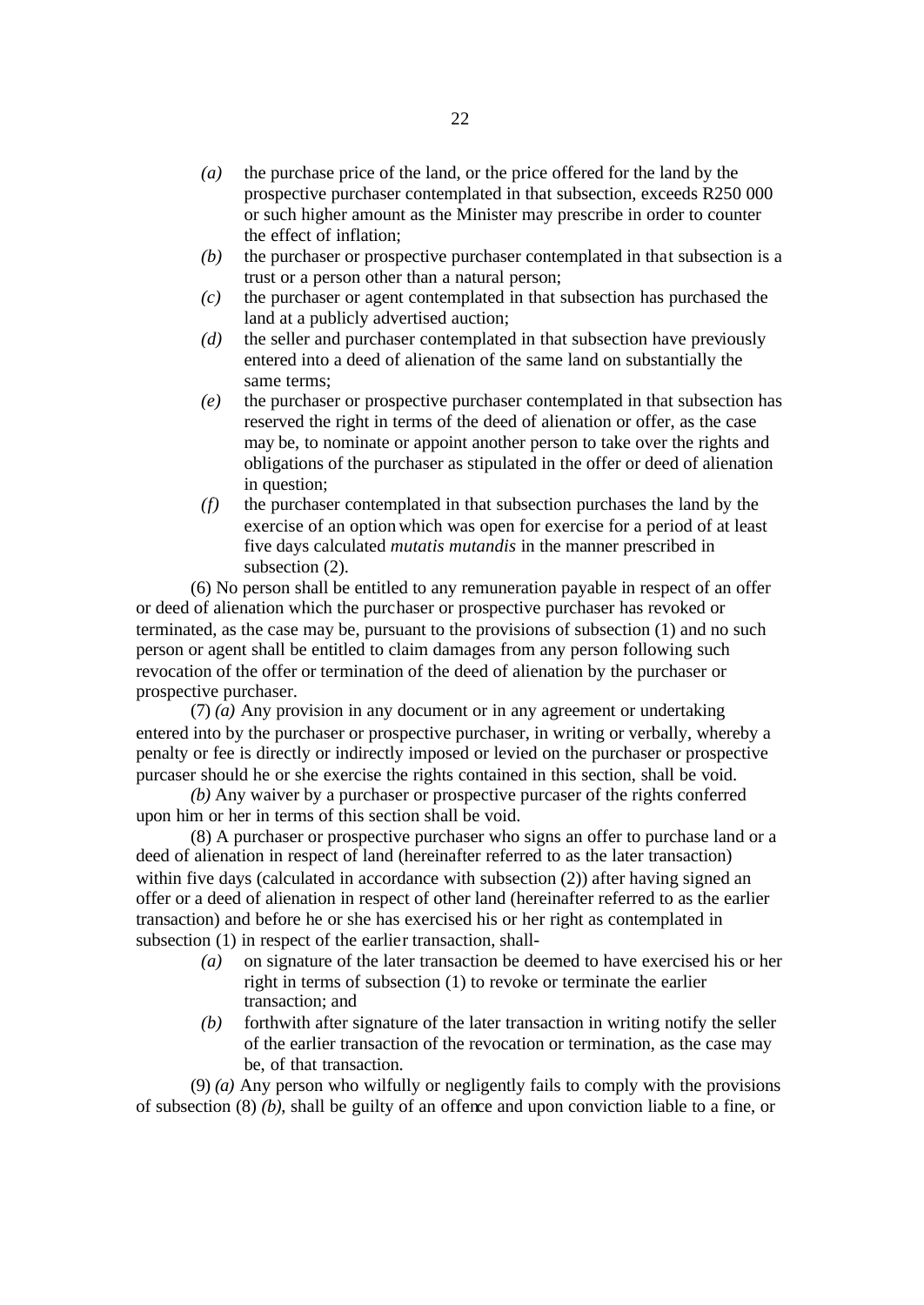- *(a)* the purchase price of the land, or the price offered for the land by the prospective purchaser contemplated in that subsection, exceeds R250 000 or such higher amount as the Minister may prescribe in order to counter the effect of inflation;
- *(b)* the purchaser or prospective purchaser contemplated in that subsection is a trust or a person other than a natural person;
- *(c)* the purchaser or agent contemplated in that subsection has purchased the land at a publicly advertised auction;
- *(d)* the seller and purchaser contemplated in that subsection have previously entered into a deed of alienation of the same land on substantially the same terms;
- *(e)* the purchaser or prospective purchaser contemplated in that subsection has reserved the right in terms of the deed of alienation or offer, as the case may be, to nominate or appoint another person to take over the rights and obligations of the purchaser as stipulated in the offer or deed of alienation in question:
- *(f)* the purchaser contemplated in that subsection purchases the land by the exercise of an option which was open for exercise for a period of at least five days calculated *mutatis mutandis* in the manner prescribed in subsection  $(2)$ .

(6) No person shall be entitled to any remuneration payable in respect of an offer or deed of alienation which the purchaser or prospective purchaser has revoked or terminated, as the case may be, pursuant to the provisions of subsection (1) and no such person or agent shall be entitled to claim damages from any person following such revocation of the offer or termination of the deed of alienation by the purchaser or prospective purchaser.

(7) *(a)* Any provision in any document or in any agreement or undertaking entered into by the purchaser or prospective purchaser, in writing or verbally, whereby a penalty or fee is directly or indirectly imposed or levied on the purchaser or prospective purcaser should he or she exercise the rights contained in this section, shall be void.

*(b)* Any waiver by a purchaser or prospective purcaser of the rights conferred upon him or her in terms of this section shall be void.

(8) A purchaser or prospective purchaser who signs an offer to purchase land or a deed of alienation in respect of land (hereinafter referred to as the later transaction) within five days (calculated in accordance with subsection (2)) after having signed an offer or a deed of alienation in respect of other land (hereinafter referred to as the earlier transaction) and before he or she has exercised his or her right as contemplated in subsection (1) in respect of the earlier transaction, shall-

- *(a)* on signature of the later transaction be deemed to have exercised his or her right in terms of subsection (1) to revoke or terminate the earlier transaction; and
- *(b)* forthwith after signature of the later transaction in writing notify the seller of the earlier transaction of the revocation or termination, as the case may be, of that transaction.

(9) *(a)* Any person who wilfully or negligently fails to comply with the provisions of subsection (8) *(b)*, shall be guilty of an offence and upon conviction liable to a fine, or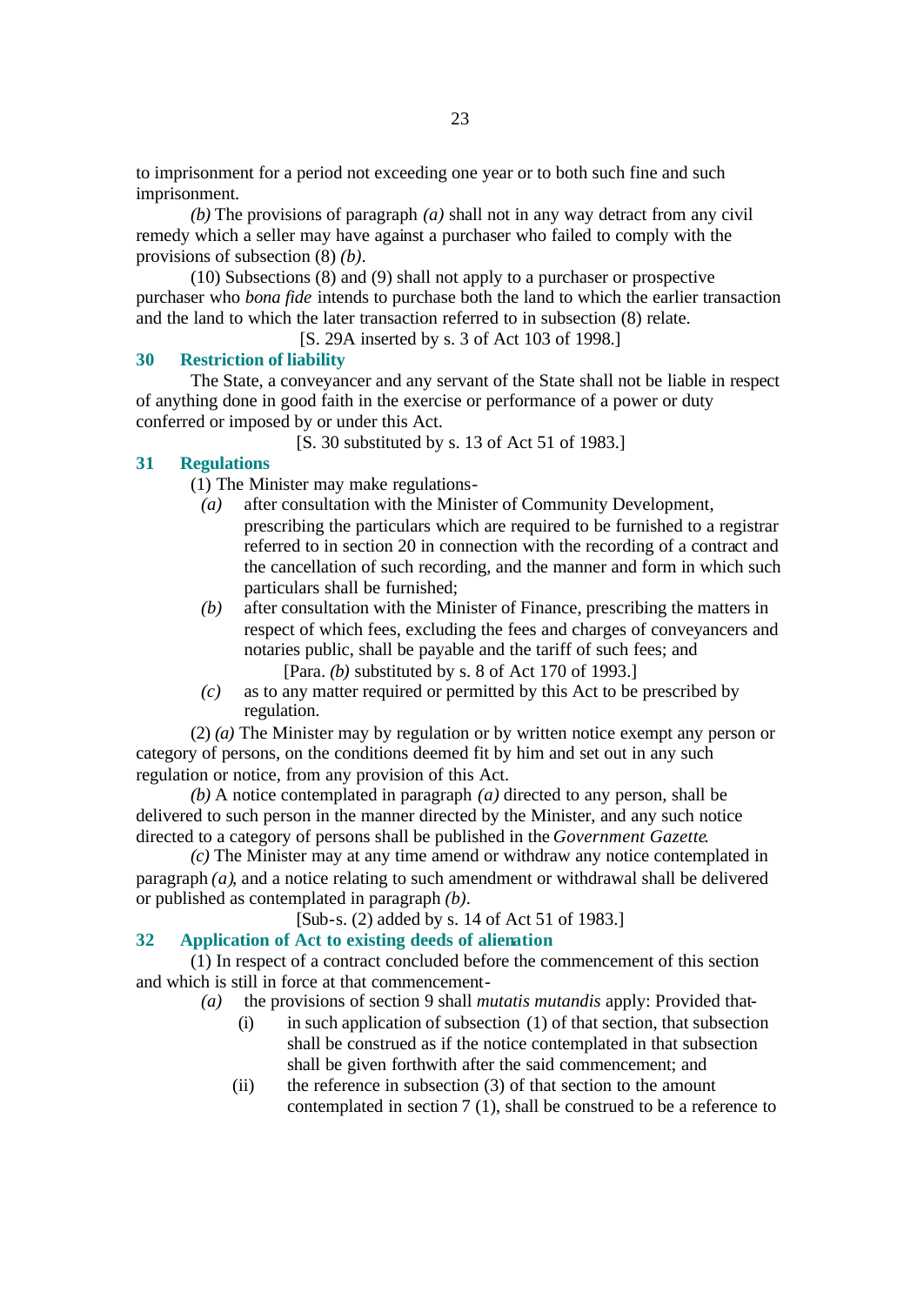to imprisonment for a period not exceeding one year or to both such fine and such imprisonment.

*(b)* The provisions of paragraph *(a)* shall not in any way detract from any civil remedy which a seller may have against a purchaser who failed to comply with the provisions of subsection (8) *(b)*.

(10) Subsections (8) and (9) shall not apply to a purchaser or prospective purchaser who *bona fide* intends to purchase both the land to which the earlier transaction and the land to which the later transaction referred to in subsection (8) relate.

[S. 29A inserted by s. 3 of Act 103 of 1998.]

### **30 Restriction of liability**

The State, a conveyancer and any servant of the State shall not be liable in respect of anything done in good faith in the exercise or performance of a power or duty conferred or imposed by or under this Act.

[S. 30 substituted by s. 13 of Act 51 of 1983.]

## **31 Regulations**

(1) The Minister may make regulations-

- *(a)* after consultation with the Minister of Community Development, prescribing the particulars which are required to be furnished to a registrar referred to in section 20 in connection with the recording of a contract and the cancellation of such recording, and the manner and form in which such particulars shall be furnished;
- *(b)* after consultation with the Minister of Finance, prescribing the matters in respect of which fees, excluding the fees and charges of conveyancers and notaries public, shall be payable and the tariff of such fees; and

[Para. *(b)* substituted by s. 8 of Act 170 of 1993.]

*(c)* as to any matter required or permitted by this Act to be prescribed by regulation.

(2) *(a)* The Minister may by regulation or by written notice exempt any person or category of persons, on the conditions deemed fit by him and set out in any such regulation or notice, from any provision of this Act.

*(b)* A notice contemplated in paragraph *(a)* directed to any person, shall be delivered to such person in the manner directed by the Minister, and any such notice directed to a category of persons shall be published in the *Government Gazette*.

*(c)* The Minister may at any time amend or withdraw any notice contemplated in paragraph *(a)*, and a notice relating to such amendment or withdrawal shall be delivered or published as contemplated in paragraph *(b)*.

[Sub-s. (2) added by s. 14 of Act 51 of 1983.]

## **32 Application of Act to existing deeds of alienation**

(1) In respect of a contract concluded before the commencement of this section and which is still in force at that commencement-

*(a)* the provisions of section 9 shall *mutatis mutandis* apply: Provided that-

- (i) in such application of subsection (1) of that section, that subsection shall be construed as if the notice contemplated in that subsection shall be given forthwith after the said commencement; and
- (ii) the reference in subsection (3) of that section to the amount contemplated in section 7 (1), shall be construed to be a reference to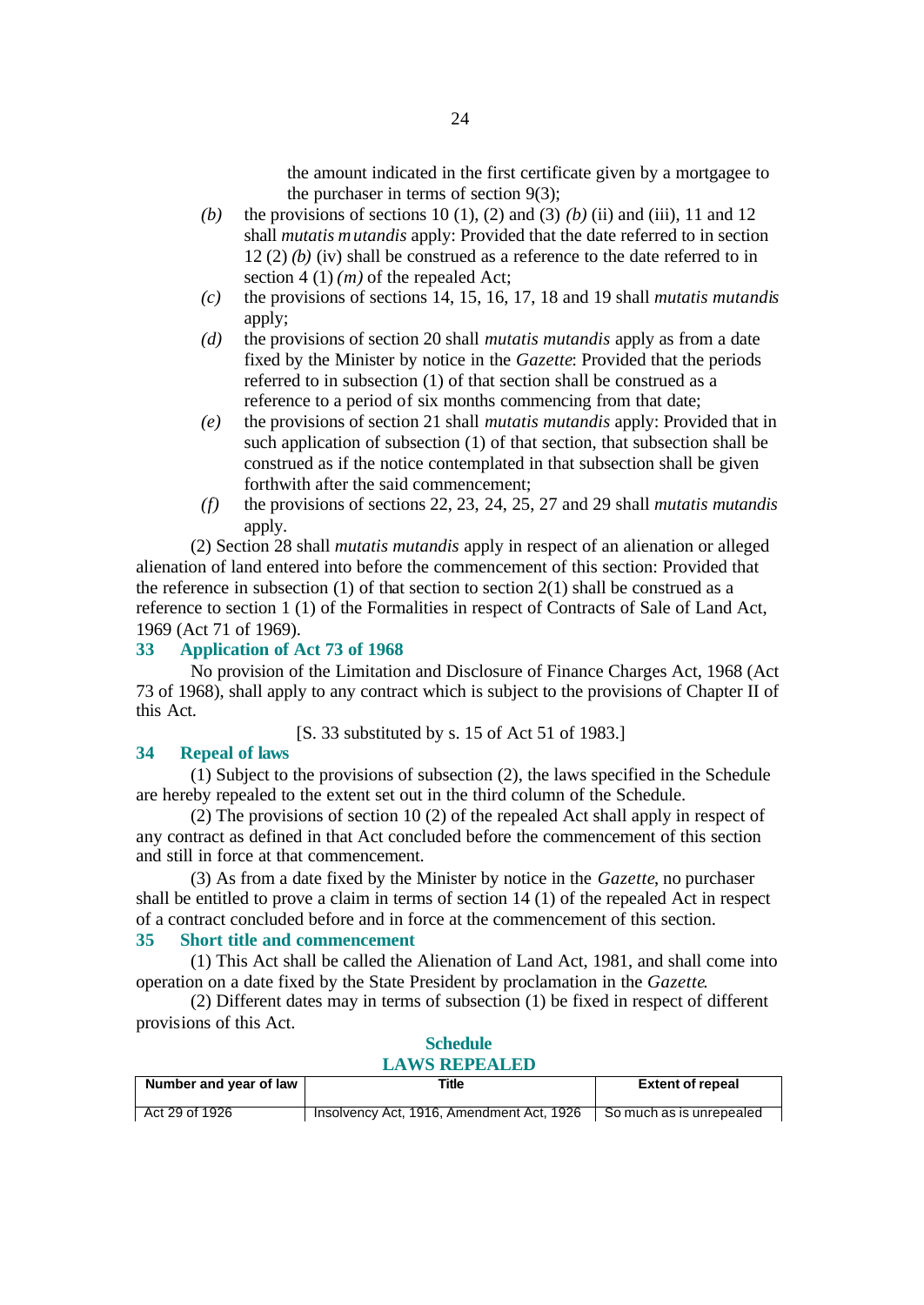the amount indicated in the first certificate given by a mortgagee to the purchaser in terms of section 9(3);

- (b) the provisions of sections 10 (1), (2) and (3) *(b)* (ii) and (iii), 11 and 12 shall *mutatis mutandis* apply: Provided that the date referred to in section 12 (2) *(b)* (iv) shall be construed as a reference to the date referred to in section 4 (1) *(m)* of the repealed Act;
- *(c)* the provisions of sections 14, 15, 16, 17, 18 and 19 shall *mutatis mutandis* apply;
- *(d)* the provisions of section 20 shall *mutatis mutandis* apply as from a date fixed by the Minister by notice in the *Gazette*: Provided that the periods referred to in subsection (1) of that section shall be construed as a reference to a period of six months commencing from that date;
- *(e)* the provisions of section 21 shall *mutatis mutandis* apply: Provided that in such application of subsection (1) of that section, that subsection shall be construed as if the notice contemplated in that subsection shall be given forthwith after the said commencement;
- *(f)* the provisions of sections 22, 23, 24, 25, 27 and 29 shall *mutatis mutandis* apply.

(2) Section 28 shall *mutatis mutandis* apply in respect of an alienation or alleged alienation of land entered into before the commencement of this section: Provided that the reference in subsection  $(1)$  of that section to section  $2(1)$  shall be construed as a reference to section 1 (1) of the Formalities in respect of Contracts of Sale of Land Act, 1969 (Act 71 of 1969).

## **33 Application of Act 73 of 1968**

No provision of the Limitation and Disclosure of Finance Charges Act, 1968 (Act 73 of 1968), shall apply to any contract which is subject to the provisions of Chapter II of this Act.

[S. 33 substituted by s. 15 of Act 51 of 1983.]

### **34 Repeal of laws**

(1) Subject to the provisions of subsection (2), the laws specified in the Schedule are hereby repealed to the extent set out in the third column of the Schedule.

(2) The provisions of section 10 (2) of the repealed Act shall apply in respect of any contract as defined in that Act concluded before the commencement of this section and still in force at that commencement.

(3) As from a date fixed by the Minister by notice in the *Gazette*, no purchaser shall be entitled to prove a claim in terms of section 14 (1) of the repealed Act in respect of a contract concluded before and in force at the commencement of this section.

### **35 Short title and commencement**

(1) This Act shall be called the Alienation of Land Act, 1981, and shall come into operation on a date fixed by the State President by proclamation in the *Gazette*.

(2) Different dates may in terms of subsection (1) be fixed in respect of different provisions of this Act.

| <b>LAWS REPEALED</b>   |                                                                      |                         |  |
|------------------------|----------------------------------------------------------------------|-------------------------|--|
| Number and year of law | Title                                                                | <b>Extent of repeal</b> |  |
| Act 29 of 1926         | Insolvency Act, 1916, Amendment Act, 1926   So much as is unrepealed |                         |  |

## **Schedule LAWS REPEALED**